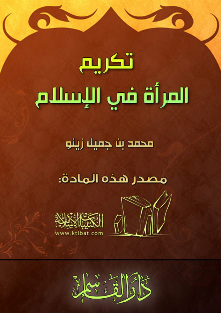# المرأة في الإسلام

تكريم

# محمد بن جمیل زینو

# مصدر هذه المادة:





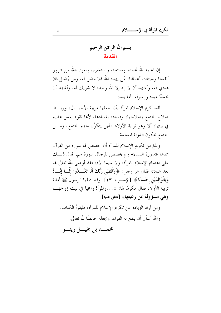إن الحمد لله نحمده ونستعينه ونستغفره، ونعوذ بالله من شرور أنفسنا وسيئات أعمالنا، مَن يهده الله فلا مضل له، ومن يُضلل فلا هادي له، وأشهد أن لا إله إلا الله وحده لا شريك له، وأشهد أن محمدًا عبده ورسوله. أما بعد:

لقد كرم الإسلام المرأة بأن جعلها مربية الأجيـــال، وربـــط صلاح المحتمع بصلاحها، وفساده بفسادها، لألها تقوم بعمل عظيم في بيتها، ألا وهو تربية الأولاد الذين يتكوَّن منهم المحتمع، ومـــن المحتمع تتكون الدولة المسلمة.

وبلغ من تكريم الإسلام للمرأة أن خصص لها سورة من القرآن سماها «سورة النساء» ولم يخصص للرجال سورة لهم، فدل ذلـــك على اهتمام الإسلام بالمرأة، ولا سيما الأم، فقد أوصى الله تعالى بما بعد عبادته فقال عز وحل: ﴿وَقَضَى رَبُّكَ أَلَّا تَعْبُـــدُوا إِلَّـــا إِيَّـــاهُ وَبِالْوَالِدَيْنِ إِحْسَانًا ﴾ [الإســـراء: ٢٣]. وقد حملها الرسولُ ﷺَ أمانة تربية الأولاد فقال مكرمًا لها: «....والمرأة راعية في بيت زوجهــا وهي مسؤولة عن رعيتها» [متفق عليه].

ومن أراد الزيادة عن تكريم الإسلام للمرأة، فليقرأ الكتاب. والله أسأل أن ينفع به القراء، ويجعله خالصًا لله تعالى.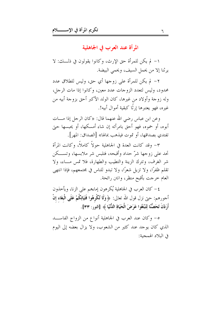المرأة عند العرب في الجاهلية

١– لم يكن للمرأة حق الإرث، وكانوا يقولون في ذلـــك: لا يرثنا إلا من يحمل السيف، ويحمى البيضة.

٢- لم يكن للمرأة على زوجها أي حق، وليس للطلاق عدد محدود، وليس لتعدد الزوجات عدد معين، وكانوا إذا مات الرجل، وله زوجة وأولاد من غيرها، كان الولد الأكبر أحق بزوجة أبيه من غيره، فهو يعتبرها إرثًا كبقية أموال أبيه!.

وعن ابن عباس رضي الله عنهما قال: «كان الرجل إذا مــــات أبوه، أو حموه، فهو أحق بامرأته إن شاء أمسكها، أو يحبسها حتى تفتدى بصداقها، أو تموت فيذهب بمالها» [الصداق: المهر].

٣- وقد كانت العدة في الجاهلية حولاً كاملاً، وكانت المرأة تحد على زوجها شرّ حداد وأقبحه، فتلبس شر ملابسها، وتســـكن شر الغرف، وتترك الزينة والتطيب والطهارة، فلا تمس مــاء، ولا تقلَّم ظفرًا، ولا تزيل شعرًا، ولا تبدو للناس في مجتمعهم، فإذا انتهى العام حرجت بأقبح منظر، وانتن رائحة.

٤ – كان العرب في الجاهلية يُكرهون إماءِهم على الزنا، ويأخذون أحورهم: حتى نزل قول الله تعالى: ﴿ وَلَا تُكْرِهُوا فَتَيَاتِكُمْ عَلَى الْبَغَاء إِنْ أَرَدْنَ تَحَصُّنَّا لِتَبْتَغُوا عَرَضَ الْحَيَاةِ اللُّنْيَا ﴾ [النور: ٣٣].

٥– وكان عند العرب في الجاهلية أنواع من الزواج الفاســــد الذي كان يوجد عند كثير من الشعوب، ولا يزال بعضه إلى اليوم في البلاد الهمجية: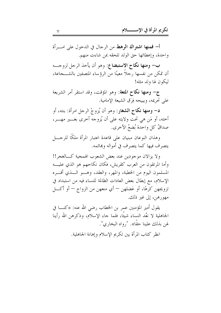أ– فمنها اشتراك الرهط من الرحال في الدحول على امـــرأة واحدة، وإعطائها حق الولد تلحقه بمن شاءت منهم.

ب– ومنها نكاح الاستبضاع: وهو أن يأخذ الرحل لزوجـــه أن تمكن من نفسها رحلاً معينًا من الرؤساء المتصفين بالشــــجاعة، ليكون لها ولد مثله!

ج– ومنها نكاح المتعة: وهو المؤقت، وقد استقر أمر الشريعة على تحريمه، ويبيحه فِرَق الشيعة الإمامية.

**د– ومنها نكاح الشغار**: وهو أن يُزوجْ الرجل امرأة: بنته، أو أخته، أو مَن هي تحت ولايته على أن يُزوجه أخرى بغـــير مهــــر، صداقُ كلِّ واحدة بُضعُ الأخرى.

وهذان النوعان مبنيان على قاعدة اعتبار المرأة ملكًا للرجسل يتصرف فيها كما يتصرف في أمواله وبمائمه.

ولا يزالان موجودين عند بعض الشعوب الهمجية كـــالغجر!! وأما المرتقون من العرب كقريش، فكان نكاحهم هو الذي عليه المسلمون اليوم من الخطبة، والمهر، والعقد، وهـــو الــــذي أقــــره الإسلام، مع إبطال بعض العادات الظالمة للنساء فيه من استبداد في تزويجهن كرهًا، أو عَضلهن – أي منعهن من الزواج – أو أكـــل مهورهن، إلى غير ذلك.

يقول أمير المؤمنين عمر بن الخطاب رضي الله عنه: «كنــــا في الجاهلية لا نعُد النساء شيئًا، فلما جاء الإسلام، وذكرهن الله رأينا لهن بذلك علينا حقًّا». "رواه البخاري".

انظر كتاب المرأة بين تكريم الإسلام وإهانة الجاهلية.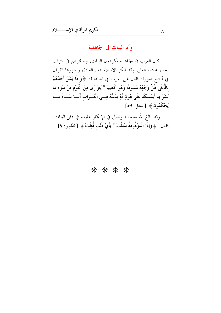# وأد البنات في الجاهلية

كان العرب في الجاهلية يكرهون البنات، ويدفنونهن في التراب أحياء خشية العار، وقد أنكر الإسلام هذه العادة، وصورها القرآن في أبشع صورة، فقال عن العرب في الجاهلية: ﴿ وَإِذَا بُشِّرَ أَحَدُهُمْ بِالْأُنْثَى ظَلَّ وَجْهُهُ مُسْوَدًّا وَهُوَ كَظِيمٌ \* يَتَوَارَى مِنَ الْقَوْمِ مِنْ سُوءِ مَا بُشِّرَ بهِ أَيُمْسكُهُ عَلَى هُونٍ أَمْ يَدُسُّهُ فِسِي التُّــرَابِ أَلَـــا سَـــاءَ مَـــا يَحْكُمُونَ ﴾ [النحل: ٥٩].

وقد بالغ الله سبحانه وتعالى في الإنكار عليهم في دفن البنات، فقال: ﴿وَإِذَا الْمَوْءُودَةُ سُئِلَتْ \* بِأَيِّ ذَنْبٍ قُتِلَتْ ﴾ [التكوير: ٩].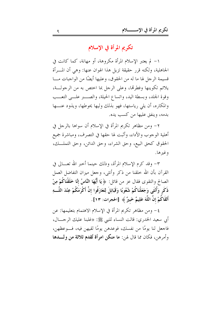تكريم المرأة في الإسلام

١– لم يعتبر الإسلام المرأة مكروهة، أو مهانة، كما كانت في الجاهلية، ولكنه قرر حقيقة تزيل هذا الهوان عنها: وهي أن المسرأة قسيمة الرجل لها ما له من الحقوق، وعليها أيضًا من الواجبات مـــا يلائم تكوينها وفطرتما، وعلى الرجل بما اختص به من الرجولـــة، وقوة الجلد، وبسطة اليد، واتساع الحيلة، والصــــــــــر علــــــى التعــــب والمكاره، أن يلي رياستها، فهو بذلك وليها يحوطها، ويذود عنـــها بدمه، وينفق عليها من كسب يده.

٢– ومن مظاهر تكريم المرأة في الإسلام أن سواها بالرحل في أهلية الوحوب والأداء، وأثبت لها حقها في التصرف، ومباشرة جميع الحقوق كحق البيع، وحق الشراء، وحق الدائن، وحق التملــك، وغيرها.

٣– وقد كرم الإسلام المرأة، وذلك حينما أخبر الله تعـــالى في القرآن بأن الله حلقنا من ذكر وأنثى، وجعل ميزان التفاضل العمل الصالح والتقوى فقال عز من قائل: ﴿ يَا أَيُّهَا النَّاسُ إِنَّا خَلَقْنَاكُمْ مِنْ ذَكَرٍ وَأُنْثَى وَجَعَلْنَاكُمْ شُعُوبًا وَقَبَائِلَ لِتَعَارَفُوا إنَّ أَكْرَمَكُمْ عِنْدَ اللَّـــهِ أَتْقَاكُمْ إِنَّ اللَّهَ عَلِيمٌ خَبيرٌ ﴾ [الحجرات: ١٣].

٤- ومن مظاهر تكريم المرأة في الإسلام الاهتمام بتعليمها: عن أبي سعيد الخدري: قالت النساء للنبي ﷺ: «غلبنا عليك الرحـــال، فاجعل لنا يومًا من نفسك، فوعدهن يومًا لقيهن فيه، فــوعظهن، وأمرهن، فكان مما قال لهن: ما منكن امرأة تُقدم ثلاثة من ولــــدها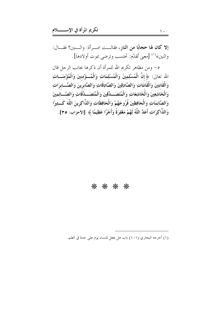إلا كان لها حجابًا من النار، فقالـــت امـــرأة: واثـــنين؟ فقـــال: واثنين»<sup>(١)</sup> [معنى تُقدّم: تحتسب وترضى بموت أولادها].

٥- ومن مظاهر تكريم الله للمرأة أن ذكرها بجانب الرحل قال الله تعالى: ﴿ إِنَّ الْمُسْلِمِينَ وَالْمُسْلِمَاتِ وَالْمُـــؤْمِنِينَ وَالْمُؤْمِنَـــاتِ وَالْقَانِتِينَ وَالْقَانِتَاتِ وَالصَّادِقِينَ وَالصَّادِقَاتِ وَالصَّابِرِينَ وَالصَّـــابرَاتِ وَالْخَاشِعِينَ وَالْخَاشِعَاتِ وَالْمُتَصَـبِدِّقِينَ وَالْمُتَصَـبِدِّقَاتِ وَالصَّــائِمِينَ وَالصَّائِمَاتِ وَالْحَافِظِينَ فُرُوجَهُمْ وَالْحَافِظَاتِ وَالذَّاكِرِينَ اللَّهَ كَــثِيرًا وَالذَّاكِرَاتِ أَعَدَّ اللَّهُ لَهُمْ مَغْفِرَةً وَأَجْرًا عَظِيمًا ﴾ [الأحزاب: ٣٥].

#### \* \* \* \*

(١) أخرجه البخاري (١٠١) باب هل يجعل للنساء يوم على حدة في العلم.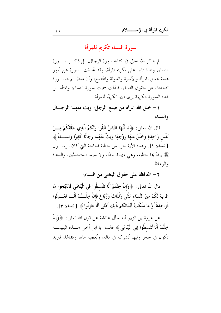سورة النساء تكريم للمرأة

لم يذكر الله تعالى في كتابه سورة الرحال، بل ذكـــر ســــورة النساء، وهذا دليل على تكريم المرأة، وقد تحدثت السورة عن أمور هامة تتعلق بالمرأة والأسرة والدولة والمحتمع، وأن معظـــم الســــورة تتحدث عن حقوق النساء، فلذلك سميت سورة النساء، والمتأمــــل لهذه السورة الكريمة يرى فيها تكريمًا للمرأة.

١- خلق الله المرأة من ضلع الرجل، وبث منهما الرجـــال والنساء:

قال الله تعالى: ﴿ يَا أَيُّهَا النَّاسُ اتَّقُوا رَبَّكُمُ الَّذِي خَلَقَكُمْ مِـــنْ نَفْس وَاحِدَةٍ وَخَلَقَ مِنْهَا زَوْجَهَا وَبَتَّ مِنْهُمَا رِجَالًا كَثِيرًا وَنسَــاءً ﴾ [النساء: ١]. وهذه الآية جزء من خطبة الحاجة التي كان الرســـول ﷺ يبدأ ها حطبه، وهي مهمة جدًا، ولا سيما للمتحدثين، والدعاة والوعاظ.

٢ – المحافظة على حقوق اليتامي من النساء:

قال الله تعالى: ﴿ وَإِنْ خِفْتُمْ أَلَّا تُقْسطُوا فِي الْيَتَامَى فَانْكِحُوا مَا طَابَ لَكُمْ مِنَ النِّسَاء مَثْنَى وَثُلَاثَ وَرُبَاعَ فَإِنْ خِفْــتُمْ أَلَّـــا تَعْـــدِلُوا فَوَاحِدَةً أَوْ مَا مَلَكَتْ أَيْمَانُكُمْ ذَلِكَ أَدْنَى أَلَّا تَعُولُوا ﴾ [النساء: ٣].

عن عروة بن الزبير أنه سأل عائشة عن قول الله تعالى: ﴿ وَإِنْ خِفْتُمْ أَلَّا تُقْسطُوا فِي الْيَتَامَى ﴾ قالت: يا ابن أختى هــــذه اليتيمــــة تكون في حجر وليها تُشرِكه في ماله، ويُعجبه مالها وجمالها، فيريد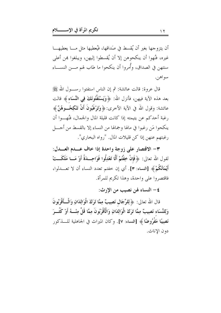أن يتزوجها بغير أن يُقسط في صَداقها، فيُعطيها مثل مـــا يعطيهــــا غيره، فنُهوا أن ينكحوهن إلا أن يُقسطوا إليهن، ويبلغوا هِن أعلى سنتهن في الصداق، وأُمروا أن ينكحوا ما طاب لهم مـــن النســــاء سو آهن.

قال عروة: قالت عائشة: ثم إن الناس استفتوا رســــول الله ﷺ بعد هذه الآية فيهن، فأنزل الله: ﴿ وَيَسْتَفْتُونَكَ فِي النِّسَاءِ ﴾ قالت عائشة: وقول الله في الآية الأخرى: ﴿ وَتَوْغَبُونَ أَنْ تَنْكِحُــوهُنَّ ﴾ رغبة أحدكم عن يتيمته إذا كانت قليلة المال والجمال، فنُهِــوا أن ينكحوا مَن رغبوا في مالها وجمالها من النساء إلا بالقسط من أحــــل رغبتهم عنهن إذا كن قليلات المال. "رواه البخاري".

٣- الاقتصار على زوجة واحدة إذا حاف عــدم العــدل: لقول الله تعالى: ﴿ فَإِنْ خِفْتُمْ أَلَّا تَعْدِلُوا فَوَاحِــدَةً أَوْ مَــا مَلَكَــتْ أَيْمَانُكُمْ﴾ [النساء: ٣]. أي إن خفتم تعدد النساء أن لا تعـــدلوا، فاقتصروا على واحدة، وهذا تكريم للمرأة.

٤ – النساء لهن نصيب من الإرث:

قال الله تعالى: ﴿ لِلرِّجَالِ نَصِيبٌ مِمَّا تَرَكَ الْوَالِدَانِ وَالْـــأَقْرَبُونَ وَلِلنِّسَاء نَصِيبٌ مِمَّا تَرَكَ الْوَالِدَانِ وَالْأَقْرَبُونَ مِمَّا قَلَّ مِنْـــهُ أَوْ كَثُـــرَ نَصِيبًا مَفْرُوضًا ﴾ [النساء: ٧]. وكان الميراث في الجاهلية للــــذكور دون الاناث.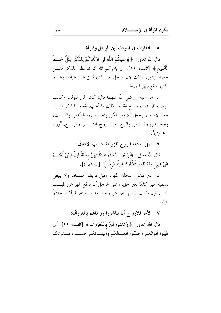٥- التفاوت في الميراث بين الرجل والمرأة:

قال الله تعالى: ﴿ يُوصِيكُمُ اللَّهُ فِي أَوْلَادِكُمْ لِلذَّكَرِ مِثْلُ حَـــظٌّ الْمُأْنْغَيَيْنِ ﴾ [النساء: ١١]. أي يأمركم الله أن تقسطوا للذكر مثــــل حصة البنتين، وذلك لأن الرحل هو الذي يُنفق على عياله، وهـــو الذي يدفع المهر للمرأة.

عن ابن عباس رضي الله عنهما قال: كان المال للولد، وكانت الوصية للوالدين، فنسخ الله من ذلك ما أحب، فجعل للذكر مثــــل حظ الأنثيين، وجعل للأبوين لكل واحد منهما السُّدس والثلـــث، وحعل للزوحة الثمن والربع، وللـزوج الشــطر والربـــع. "رواه البخاري".

٦- المهر يدفعه الزوج للزوجة حسب الاتفاق:

قال الله تعالى: ﴿ وَآَتُوا النِّسَاءَ صَدُقَاتِهِنَّ نحْلَةً فَإِنْ طِبْنَ لَكُـــمْ عَنْ شَيْء مِنْهُ نَفْسًا فَكُلُوهُ هَنيئًا مَرِيئًا ﴾ [النساء: ٤].

عن ابن عباس: النحلة: المهر، وقيل فريضة مسماه، ولا ينبغي تسمية المهر كذبًا بغير حق، وعلى الرحل أن يدفع المهر عن طيــب نفس، فإن طابت نفسها عن شيء منه بعد تسميته، فليأكله حلالاً طيئًا.

# ٧– الأمر للأزواج أن يباشروا زوجالهم بالمعروف:

قال الله تعالى: ﴿وَعَاشِرُوهُنَّ بِالْمَعْرُوفِ﴾ [النساء: ١٩]. أي طيِّبوا أقوالكم وحسَّنوا أفعـــالكم وهيئــــاتكم حســـب قــــدرتكم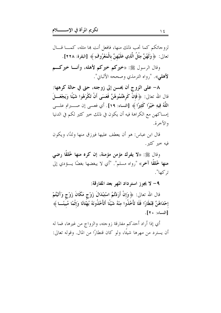لزوجاتكم كما تحب ذلك منها، فافعل أنت ها مثله، كمـــا قـــال تعالى: ﴿ وَلَهُنَّ مِثْلُ الَّذِي عَلَيْهِنَّ بِالْمَعْرُوفِ﴾ [البقرة: ٢٢٨].

وقال الرسول ﷺ: «خیرکم خیرکم لأهله، وأنــا خیرکـــم لأهلي». "رواه الترمذي وصححه الألباني".

٨– على الزوج أن يحسن إلى زوجته، حتى في حالة كرهها: قال الله تعالى: ﴿ فَإِنْ كَرِهْتُمُوهُنَّ فَعَسَى أَنْ تَكْرَهُوا شَيْئًا وَيَجْعَـــلَ اللَّهُ فِيهِ خَيْرًا كَثِيرًا ﴾ [النساء: ١٩]. أي فعسى إن صـــــــــبرتم علـــــــى إمساكهن مع الكراهة فيه أن يكون في ذلك خير كثير لكم في الدنيا والآخرة.

قال ابن عباس: هو أن يعطف عليها فيرزق منها ولدًا، ويكون فيه خير کثير .

وقال ﷺ: «لا يفرك مؤمن مؤمنة، إن كره منها خُلقًا رضي منها خُلقًا آخر» "رواه مسلم". "أي لا يبغضها بغضًا يـــؤدي إلى تركها".

٩- لا يجوز استرداد المهر بعد المفارقة:

قال الله تعالى: ﴿ وَإِنْ أَرَدْتُمُ اسْتِبْدَالَ زَوْجٍ مَكَانَ زَوْجٍ وَآتَيْتُمْ إحْدَاهُنَّ قِنْطَارًا فَلَا تَأْخُذُوا مِنْهُ شَيْئًا أَتَأْخُذُونَهُ بُهْتَانًا وَإِثْمًا مُبينًـــا ﴾ [النساء: ٢٠].

أي إذا أراد أحدكم مفارقة زوجته، والزواج من غيرها، فما له أن يسترد من مهرها شيئًا، ولو كان قنطارًا من المال. وقوله تعالى: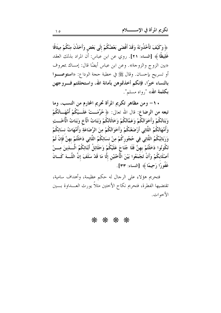﴿ وَكَيْفَ تَأْخُذُونَهُ وَقَدْ أَفْضَى بَعْضُكُمْ إِلَى بَعْضٍ وَأَخَذْنَ مِنْكُمْ مِيثَاقًا غَلِيظًا ﴾ [النساء: ٢١]. روي عن ابن عباس: أن المراد بذلك العقد «بين الزوج والزوجة». وعن ابن عباس أيضًا قال: إمساك بمعروف أو تسريح بإحسان. وقال ﷺ في خطبة حجة الوداع: «ا**ستوصــــو**ا بالنساء خيرًا، فإنكم أخذتموهن بأمانة الله، واستحللتم فـــروجهن بكلمة الله» "رواه مسلم".

. ١- ومن مظاهر تكريم المرأة تحريم المحارم من النسب، وما تبعه من الرضاع: قال الله تعالى: ﴿ حُرِّمَــتْ عَلَــيْكُمْ أُمَّهَـــاتُكُمْ وَبَنَاتُكُمْ وَأَخَوَاتُكُمْ وَعَمَّاتُكُمْ وَخَالَاتُكُمْ وَبَنَاتُ الْأَخ وَبَنَاتُ الْأُخْـــتِ وَأُمَّهَاتُكُمُ اللَّاتِي أَرْضَعْنَكُمْ وَأَخَوَاتُكُمْ مِنَ الرَّضَاعَةِ وَأُمَّهَاتُ نسَائِكُمْ وَرَبَائِبُكُمُ اللَّاتِي فِي حُجُورِكُمْ مِنْ نسَائِكُمُ اللَّاتِي دَخَلْتُمْ بهنَّ فَإِنْ لَمْ تَكُونُوا دَخَلْتُمْ بهنَّ فَلَا جُنَاحَ عَلَيْكُمْ وَحَلَائِلُ أَبْنَائِكُمُ الَّـــٰذِينَ مِـــنْ أَصْلَابِكُمْ وَأَنْ تَجْمَعُوا بَيْنَ الْأُخْتَيْنِ إِلَّا مَا قَدْ سَلَفَ إِنَّ اللَّـــهَ كَـــانَ غَفُورًا رَحِيمًا ﴾ [النساء: ٣٣].

فتحريم هؤلاء على الرحال له حكم عظيمة، وأهداف سامية، تقتضيها الفطرة، فتحريم نكاح الأختين مثلاً يورث العــــداوة بــــين الأخوات.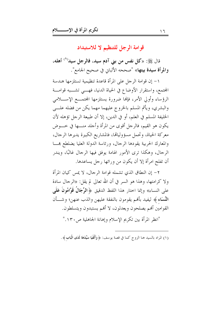قوامة الرجل للتنظيم لا للاستبداد

قال ﷺ: «كل نفس من بني آدم سيد، فالرجل سيد<sup>(١)</sup> أهله، والمرأة سيدة بيتها» "صححه الألباني في صحيح الجامع".

١- إن قوامة الرجل على المرأة قاعدة تنظيمية تستلزمها هندسة المحتمع، واستقرار الأوضاع في الحياة الدنيا، فهـــي تشـــبه قوامـــة الرؤساء وأولى الأمر، فإنها ضرورة يستلزمها المحتمـــع الإســــلامي والبشري، ويأثم المسلم بالخروج عليهما مهما يكن من فضله علـــي الخليفة المسلم في العلم، أو في الدين، إلا أن طبيعة الرجل تؤهله لأن يكون هو القيم، فالرحل أقوى من المرأة وأحلد منــــها في خــــوض معركة الحياة، وتحمل مسؤولياتما، فالمشاريع الكبيرة يديرها الرحال، والمعارك الحربية يقودها الرجال، ورئاسة الدولة العليا يضلطع هما الرجال، وهكذا ترى الأمور الهامة يوفق فيها الرجال غالبًا، ويندر أن تفلح امرأة إلا أن يكون من ورائها رجل يساعدها.

٢– إن النطاق الذي تشمله قوامة الرجال، لا يمس كيان المرأة ولا كرامتها، وهذا هو السر في أن الله تعالى لم يقل: «الرجال سادة على النساء» وإنما احتار هذا اللفظ الدقيق ﴿ **الرِّجَالُ قَوَّامُونَ عَلَى** النِّسَاءِ ﴾ ليفيد بأفم يقومون بالنفقة عليهن والذب عنهن؛ وشـــأن القوامين ألهم يصلحون ويعدلون، لا ألهم يستبدون ويتسلطون. "انظر المرأة بين تكريم الاسلام وإهانة الجاهلية ص١٣٠."

(١) المراد بالسيد هنا الزوج كما في قصة يوسف: ﴿ وَأَلْفَيَا سَيِّدَهَا لَدَى الْبَابِ ﴾ .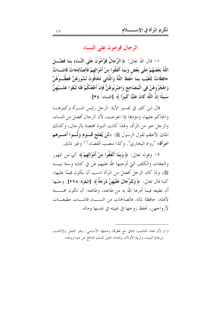الرجال قوامون على النساء

١ – قال الله تعالى: ﴿ الرِّجَالُ قَوَّامُونَ عَلَى النِّسَاء بمَا فَضَّـــلَ اللَّهُ بَعْضَهُمْ عَلَى بَعْضٍ وَبِمَا أَنْفَقُوا مِنْ أَمْوَالِهِمْ فَالصَّالِحَاتُ قَانتَـــاتٌ حَافِظَاتٌ لِلْغَيْبِ بِمَا خَفِظَ اللَّهُ وَاللَّاتِي تَخَافُونَ نُشُوزَهُنَّ فَعِظُــوهُنَّ وَاهْجُرُوهُنَّ فِي الْمَضَاجِعِ وَاضْرِبُوهُنَّ فَإِنْ أَطَعْنَكُمْ فَلَا تَبْغُوا عَلَـــيْهِنَّ سَبِيلًا إِنَّ اللَّهَ كَانَ عَلِيًّا كَبِيرًا ﴾ [النساء: ٣٤].

قال ابن كثير في تفسير الآية: الرجل رئيس المـــرأة وكبيرهــــا والحاكم عليها، ومؤدها إذا اعوجت، لأن الرحال أفضل من النساء، والرجل خير من المرأة، ولهذا كانت النبوة مختصة بالرجال، وكذلك الملك الأعظم لقول الرسول ﷺ: «**لن يُفلح قـــوم ولّـــوا أمــــرهم** امرأة» "رواه البخاري". وكذا منصب القضاء <sup>(١)</sup> وغير ذلك.

٢– وقوله تعالى: ﴿وَبِمَا أَنْفَقُوا مِنْ أَمْوَالِهِمْ﴾ أي من المهور والنفقات والكلف التي أوجبها الله عليهم لهن في كتابه وسنة نبيسه ﷺ، ولما كان الرحل أفضل من المرأة ناسب أن يكون قيمًا عليها، كما قال تعالى: ﴿ وَلِلرِّجَالِ عَلَيْهِنَّ دَرَجَةٌ ﴾ [البقرة: ٢٢٨]. وعليها أن تطيعه فيما أمرها الله به من طاعته، وطاعته: أن تكون محســـنة لأهله، حافظة لماله. فالصالحات من النســـاء قانتـــات مطيعـــات لأزواجهن، تحفظ زوجها في غيبته في نفسها وماله.

(١) لأن هذه المناصب تتنافي مع فطرقما وعملها الأساسي: وهو الحمل والإنجاب، ورعاية البيت، وتربية الأولاد، وإعداد الجيل المسلم المدافع عن دينه ووطنه.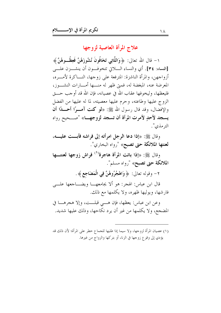# علاج المرأة العاصية لزوجها

١– قال الله تعالى: ﴿ وَاللَّاتِي تَخَافُونَ نُشُوزَهُنَّ فَعِظُــوهُنَّ ﴾ [النساء: ٣٤]. أي والنساء الــــلاتي تتخوفـــون أن ينشـــزن علــــي أزواجهن، والمرأة الناشزة: المترفعة على زوجها، النساكرة لأمسره، المعرضة عنه، المبغضة له، فميٍّ ظهر له منسها أمسارات النشسوز، فليعظها، وليخوفها عقاب الله في عصيانه، فإن الله قد أوجب حـــق الزوج عليها وطاعته، وحرم عليها معصيته، لما له عليها من الفضل والإفضال، وقد قال رسول الله ﷺ: «لو كنت آمــوًا أحـــدًا أن يسجد لأحدٍ لأمرت المرأة أن تسجد لزوجهــا» "صــحيح رواه الترمذي".

وقال ﷺ: «إذا دعا الرجل امرأته إلى فراشه فأبــت عليـــه، **لعنتها الملائكة حتى تصبح**» "رواه البخاري".

وقال ﷺ: «إذا باتت المرأة هاجرة<sup>(١)</sup> فراش زوجها لعنتـــها الملائكة حتى تصبح» "رواه مسلم".

٢– وقوله تعالى: ﴿ وَاهْجُرُوهُنَّ فِي الْمَضَاجِعِ ﴾ .

قال ابن عباس: الهجر: هو ألا يجامعهـــا ويضــــاجعها علــــى فارشها، ويوليها ظهره، ولا يكلمها مع ذلك.

وعن ابن عباس: يعظها، فإن هـــي قبلـــت، وإلا هجرهـــا في المضجع، ولا يكلمها من غير أن يرد نكاحها، وذلك عليها شديد.

(١) عصيان المرأة لزوجها، ولا سيما إذا طلبها للجماع خطر على المرأة؛ لأن ذلك قد يؤدي إلى وقوع زوجها في الزنا، أو بتركها والزواج من غيرها.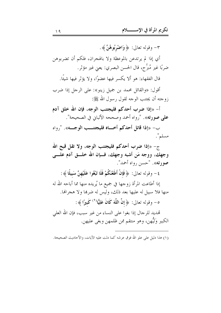٣- وقوله تعالى: ﴿ وَاضْرَبُوهُنَّ ﴾. أي إذا لم يرتدعن بالموعظة ولا بالهجران، فلكم أن تضربوهن ضربًا غير مُبرِّح، قال الحسن البصري: يعني غير مؤثر. قال الفقهاء: هو ألا يكسر فيها عضوًا، ولا يؤثر فيها شيئًا. أقول: «والقائل محمد بن جميل زينو»: على الرجل إذا ضرب زوجته أن يجتنب الوجه لقول رسول الله ﷺ: أ- «إذا ضرب أحدكم فليجتنب الوجه، فإن الله خلق آدم على صورته». "رواه أحمد وصححه الألباني في الصحيحة". ب- «إذا قاتل أحدكم أخساه فليجتنسب الوجسه». "رواه مسلم". ج- «إذا ضرب أحدكم فليجتنب الوجه، ولا تقل قبح الله وجهك، ووجه مَن أشبه وجهك، فــإن الله خلـــق آدم علـــي صود ته». "حسن دواه أحمد". ٤ – وقوله تعالى: ﴿ فَإِنْ أَطَعْنَكُمْ فَلَا تَبْغُوا عَلَيْهِنَّ سَبِيلًا ﴾ : إذا أطاعت المرأة زوجها في جميع ما يُريده منها مما أباحه الله له منها فلا سبيل له عليها بعد ذلك، وليس له ضرها ولا هجرالها. ه- وقوله تعالى: ﴿ إِنَّ اللَّهَ كَانَ عَلِيًّا لَٰ كَبِيرًا ﴾: تهديد للرجال إذا بغوا على النساء من غير سبب، فإن الله العلمي الكبير وَلَيُّهن، وهو منتقم ممن ظلمهن وبغي عليهن.

(١) هذا دليل على علو الله فوق عرشه كما دلت عليه الآيات، والأحاديث الصحيحة.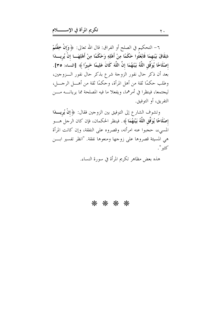٦– التحكيم في الصلح أو الفراق: قال الله تعالى: ﴿ وَإِنْ خِفْتُمْ شِقَاقَ بَيْنهمَا فَابْعَثُوا حَكَمًا مِنْ أَهْلِهِ وَحَكَمًا مِنْ أَهْلِهَـــا إنْ يُرِيــــدَا إصْلَاحًا يُوَفِّقِ اللَّهُ بَيْنَهُمَا إِنَّ اللَّهَ كَانَ عَلِيمًا خَبيرًا ﴾ [النساء: ٣٥]. بعد أن ذكر حال نفور الزوجة شرع بذكر حال نفور السزوجين، وطلب حكمًا ثقة من أهل المرأة، وحكمًا ثقة من أهـــل الرجــــل، ليجتمعا، فينظرا في أمرهما، ويفعلا ما فيه المصلحة مما يريانــــه مــــن التفريق، أو التوفيق.

وتشوف الشارع إلى التوفيق بين الزوجين فقال: ﴿ إِنْ يُرِيسِـدَا إصْلَاحًا يُوَفِّقِ اللَّهُ بَيْنَهُمَا ﴾. فينظر الحكمان، فإن كان الرجل هـــو المسيء، حجبوا عنه امرأته، وقصروه على النفقة، وإن كانت المرأة هي المسيئة قصروها على زوجها ومنعوها نفقة. "انظر تفسير ابـــن كثير ".

هذه بعض مظاهر تكريم المرأة في سورة النساء.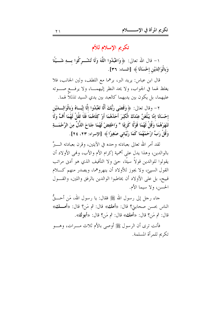تكريم الإسلام للأم

١– قال الله تعالى: ﴿ وَاعْبُدُوا اللَّهَ وَلَا تُشْـــركُوا بــــهِ شَــــيْئًا وَبِالْوَالِدَيْنِ إِحْسَانًا ﴾ [النساء: ٣٦].

قال ابن عباس: يريد البر، برهما مع اللطف، ولين الجانب، فلا يغلظ لهما في الجواب، ولا يحد النظر إليهمـــا، ولا يرفـــع صــــوته عليهما، بل يكون بين يديهما كالعبد بين يدي السيد تذللاً لهما.

٢ – وقال تعالى: ﴿ وَقَضَى رَبُّكَ أَلَّا تَعْبُدُوا إِلَّا إِيَّــاهُ وَبِالْوَالِـــدَيْنِ إِحْسَانًا إِمَّا يَبْلُغَنَّ عِنْدَكَ الْكِبَرَ أَحَدُهُمَا أَوْ كِلَاهُمَا فَلَا تَقُلْ لَهُمَا أُفٍّ وَلَا تَنْهَرْهُمَا ۚ وَقُلْ لَهُمَا قَوْلًا كَرِيمًا \* وَاخْفِضْ لَهُمَا جَنَاحَ الذُّلِّ مِنَ الرَّحْمَـــةِ وَقُلْ رَبِّ ارْحَمْهُمَا كَمَا رَبَّيَانِي صَغِيرًا ﴾ [الإسراء: ٢٣، ٢٤].

لقد أمر الله تعالى بعبادته وحده في الآيتين، وقرن بعبادته الــــبرَّ بالوالدين، وهذا يدل على أهمية إكرام الأم والأب، وهُبي الأولاد أن يقولوا للوالدين قولاً سيئًا، حتى ولا التأفيف الذي هو أدنى مراتب القول السيئ، ولا يجوز للأولاد أن ينهروهما، ويصدر منهم كــــلام قبيح، بل على الأولاد أن يخاطبوا الوالدين بالرفق واللين، والقسول الحسن، ولا سيما الأم.

حاء رحل إلى رسول الله ﷺ فقال: يا رسول الله، مَن أحــــقُّ الناس بحسن صحابتي؟ قال: «أهك» قال: ثم مَن؟ قال: «أهــك» قال: ثم مَنْ؟ قال: «أهك» قال: ثم مَنْ؟ قال: «أبوك».

فأنت ترى أن الرسول ﷺ أوصى بالأم ثلاث مـــرات، وهــــو تكريم للمرأة المسلمة.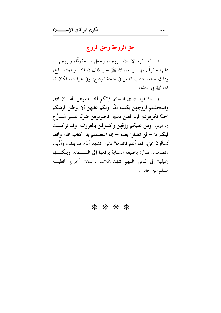# حق الزوجة وحق الزوج

١– لقد كرم الإسلام الزوجة، وجعل لها حقوقًا، ولزوجهـــا عليها حقوقًا، فهذا رسول الله ﷺ يعلن ذلك في أكــــــبر احتمــــــا ع، وذلك حينما خطب الناس في حجة الوداع، وفي عرفات، فكان مما قاله ﷺ في خطبته:

٢ – «فاتقوا الله في النساء، فإنكم أخــــذتموهن بأمــــان الله، واستحللتم فروجهن بكلمة الله، ولكم عليهن ألا يوطئن فرشكم أحدًا تكرهونه، فإن فعلن ذلك، فاضربوهن ضربًا غـــير مُـــبرِّح (شديد)، ولهن عليكم رزقهن وكسوقمن بالمعروف. وقد تركت فيكم ما — لن تضلوا بعده — إن اعتصمتم به: كتاب الله، وأنتم تُ**سألون عني، فما أنتم قائلون؟** قالوا: نشهد أنك قد بلغت وأدَّيت ونصحت. فقال: بأصبعه السبابة يرفعها إلى الســـماء، وينكتـــها (يميلها) إلى الناس: اللهم اشهد (ثلاث مرات)» "أحرج الخطبة مسلم عن جابر ".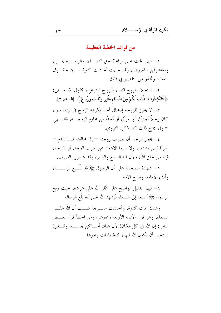من فوائد الخطبة العظيمة

١- فيها الحث على مراعاة حق النســاء، والوصــية هـــن، ومعاشرتمن بالمعروف، وقد حاءت أحاديث كثيرة تـــبين حقـــوق النساء، وتحذر من التقصير في ذلك.

٢ – استحلال فروج النساء بالزواج الشرعي، كقول الله تعــــالى: ﴿ فَانْكِحُوا مَا طَابَ لَكُمْ مِنَ النِّسَاء مَثْنَى وَثُلَاثَ وَرُبَاعَ﴾ [النساء: ٣].

٣– لا يجوز للزوجة إدخال أحد يكرهه الزوج في بيته، سواء كان رجلاً أجنبيًا، أو امرأة، أو أحدًا من محارم الزوجـــة، فالنــــهي يتناول جميع ذلك كما ذكره النووي.

٤– يجوز للرجل أن يضرب زوجته — إذا خالفته فيما تقدم — ضربًا ليس بشديد، ولا سيما الابتعاد عن ضرب الوجه، أو تقبيحه، فإنه من حلق الله، ولأن فيه السمع والبصر، وقد يتضرر بالضرب.

٥– شهادة الصحابة على أن الرسول ﷺ قد بلَّـــغ الرســــالة، وأدى الأمانة، ونصح الأمة.

٦- فيها الدليل الواضح على عُلو الله على عرشه، حيث رفع الرسول ﷺ أصبعه إلى السماء ليُشهد الله على أنه بلَّغ الرسالة.

وهناك آيات كثيرة، وأحاديث صهريحة تثبـــت أن الله علــــى السماء، وهو قول الأئمة الأربعة وغيرهم، ومن الخطأ قول بعــض الناس: إن الله في كل مكان! لأن هناك أمــــاكن نجســـة، وقــــذرة يستحيل أن يكون الله فيها، كالحمامات وغيرها.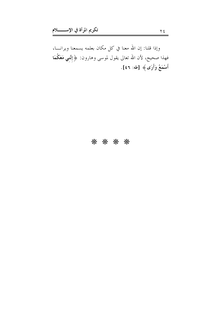وإذا قلنا: إن الله معنا في كل مكان بعلمه يسمعنا ويرانـــا، فهذا صحيح، لأن الله تعالى يقول لموسى وهارون: ﴿ إِنَّنِي مَعَكُمَا أَسْمَعُ وَأَرَى﴾ [طه: ٤٦].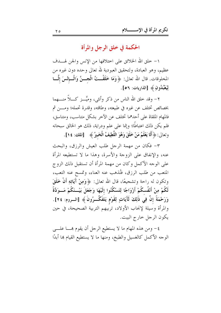الحكمة في خلق الرجل والمرأة

١ – خلق الله الخلائق على اختلافها من الإنس والجن لهـــدف عظيم، وهو العبادة، ولتحقيق العبودية لله تعالى وحده دون غيره من المخلوقات. قال الله تعالى: ﴿وَمَا خَلَقْــتُ الْجـــنَّ وَالْـــإنْسَ إِلْـــا لِيَعْبُدُونِ ﴾ [الذاريات: ٥٦].

٢– وقد خلق الله الناس من ذكر وأنثى، وميَّـــز كــــلاً منــــهما بخصائص تختلف عن غيره في طبيعته، وطاقته، وقدرة تحمله؛ ومـــن ثم فالمهام الملقاة على أحدهما تختلف عن الآخر بشكل متناسب، ومتناسق، فلم يكن ذلك اعتباطًا؛ وإنما على علم ودراية، ذلك هو الخالق سبحانه وتعالى: ﴿ أَلَا يَعْلَمُ مَنْ خَلَقَ وَهُوَ اللَّطِيفُ الْخَبِيرُ ﴾ [الملك: ١٤].

٣- فكان من مهمة الرجل طلب العيش والرزق، والبحث عنه، والإنفاق على الزوجة والأسرة، وهذا ما لا تستطيعه المرأة على الوجه الأكمل وكان من مهمة المرأة أن تستقبل ذلك الزوج المتعب من طلب الرزق، فتُذهب عنه العناء، وتمسح عنه التعب، وتكون له راحة وتشجيعًا، قال الله تعالى: ﴿ وَمِنْ آَيَاتِهِ أَنْ خَلَقَ لَكُمْ مِنْ أَنْفُسكُمْ أَزْوَاجًا لِتَسْكُنُوا إِلَيْهَا وَجَعَلَ بَيْــنَكُمْ مَــوَدَّةً وَرَحْمَةً إنَّ فِي ذَلِكَ لَآَيَاتٍ لِقَوْمٍ يَتَفَكَّــرُونَ ﴾ [الــروم: ٢٤]. والمرأة وسيلة لإنجاب الأولاد، تربيهم التربية الصحيحة، في حين يكون الرجل خارج البيت.

٤- ومن هذه المهام ما لا يستطيع الرحل أن يقوم بِحـــا علــــي الوجه الأكمل كالغسيل والطبخ، ومنها ما لا يستطيع القيام ها أبدًا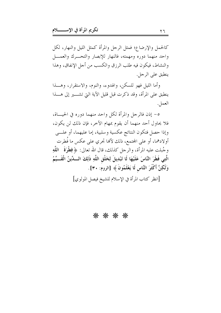كالحمل والإرضاع؛ فمثل الرحل والمرأة كمثل الليل والنهار، لكل واحد منهما دوره ومهمته، فالنهار للإبصار والتحــرك والعمـــل والنشاط، فيكون فيه طلب الرزق والكسب من أجل الإنفاق، وهذا ينطبق على الرجل.

وأما الليل فهو للسكن، والهدوء، والنوم، والاستقرار، وهـــذا ينطبق على المرأة، وقد ذكرت قبل قليل الآية التي تشــــير إلى هــــذا العمل.

٥- إذن فالرجل والمرأة لكل واحد منهما دوره في الحيساة، فلا يحاول أحد منهما أن يقوم بمهام الآحر، فإن ذلك لن يكون، وإذا حصل فتكون النتائج عكسية وسلبية، إما عليهما، أو علـــي أولادهما، أو على المحتمع، ذلك لألها تحري على عكس ما فُطرت وجُبلت عليه المرأة، والرحل كذلك، قال الله تعالى: ﴿ فِطْرَةَ ۚ اللَّهِ الَّتِي فَطَرَ النَّاسَ عَلَيْهَا لَا تَبْدِيلَ لِخَلْقِ اللَّهِ ذَلِكَ السَّدِّينُ الْقَسِّيِّمُ وَلَكِنَّ أَكْثَرَ النَّاسِ لَا يَعْلَمُونَ ﴾ [الروم: ٣٠].

[انظر كتاب المرأة في الإسلام للشيخ فيصل المولوي]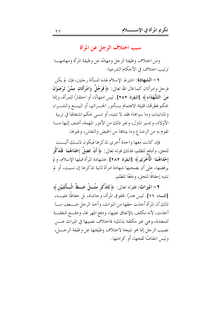سبب اختلاف الرجل عن المرأة

ومن اختلاف وظيفة الرحل ومهامّه عن وظيفة المرأة ومهامهـــا ترتيب اختلاف في الأحكام الشرعية:

1 – الشهادة: اشترط الإسلام لهذه المسألة , جلين، فإن لم يكن فرحل وامرأتان كما قال الله تعالى: ﴿ فَوَجُلٌ وَامْرَأَتَانِ مِمَّنْ تَرْضَوْنَ مِنَ الشُّهَدَاءِ ﴾ [البقرة: ٢٨٢]. ليس امتهانًا، أو احتقارًا للمرأة، وإنما بحكم فطرتها، قليلة الاهتمام بـــأمور الجـــرائم، أو البيــــع والشــــراء والمداينات وما سواها؛ فقد لا تنتبه، أو تنسبي بحكم اشتغالها في تربية الأولاد، وتدبير المترل، وغير ذلك من الأمور المهمة، أضف إليها مـــا تقوم به من الرضاع وما ينتاها من الحيض والنفاس، وغيرها.

فإن كانت معها واحدة أُخرى تذكرها فيكون ذلسك أثبست للحق، وأدفع للظلم، فذلك قوله تعالى: ﴿ أَنْ تَضِلَّ إِحْدَاهُمَا ۖ فَتُذَكَّرَ إحْدَاهُمَا ۚ الْأُخْرَى ﴾ [البقرة: ٢٨٢]. فشهادة المرأة قبلُها الإسلام، و لم يرفضها، على أن يصحبها شهادة امرأة ثانية تذكرها إن نسيت، أو لم تنتبه إحقاقًا للحق، ودفعًا للظلم.

٢ – الميراث: فقوله تعالى: ﴿ لِلذَّكَرِ مِثْـــلُ حَـــظِّ الْـــأُنْثَيَيْنِ ﴾ [النساء: ١١]. ليس هدرًا لحقوق المرأة، وحاشاه، بل حفاظًا عليــــه، ذلك أن المرأة أخذت حقها من الميراث، وأخذ الرجل ضـــعف مـــا أحذت، لأنه مكلف بالإنفاق عليها، ودفع المهر لها، ودفـــع النفقـــة للمعتدة، وهي غير مكلفة بذلك؛ فاختلاف نصيبها في الميراث عــــن نصيب الرجل إنما هو نتيجة لاختلاف وظيفتها عن وظيفة الرجـــل، وليس انتقاصًا لقحها، أو كرامتها.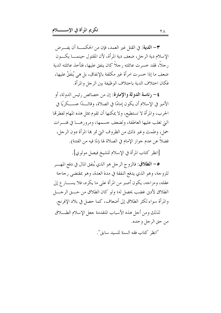٣- الدية: في القتل غير العمد، فإن من الحكمـــة أن يفـــرض الإسلام دية الرجل، ضعف دية المرأة، لأن المقتول حينمــــا يكــــون رجلاً، فقد خسرت عائلته رجلاً كان ينفق عليها، فتأخذ عائلته الدية ضعف ما إذا حسرت امرأة غير مكلفة بالإنفاق، بل هي يُنفَقُ عليها، فكان اختلاف الدية باحتلاف الوظيفة بين الرجل والمرأة.

٤ – رئاسة الدولة والإمارة: إن من حصائص رئيس الدولة، أو الأمير في الإسلام أن يكون إمامًا في الصلاة، وقائـــدًا عســـكريًا في الحرب، والمرأة لا تستطيع، ولا يمكنها أن تقوم بمثل هذه المهام لفطرتما التي تغلب عليها العاطفة، ولضعف جسمها، ومرورهــا في فتـــرات حمل، وطمث وغير ذلك من الظرو ف التي قمر بما المرأة دو ن الر جل، فضلاً عن عدم جواز الإمام في الصلاة لها (لما فيه من الفتنة).

[انظر كتاب المرأة في الإسلام للشيخ فيصل مولوي].

0- الطلاق: فالزوج الرحل هو الذي يُنفق المال في دفع المهـــر للزوجة، وهو الذي يدفع النفقة في مدة العدة، وهو عقتضى رجاحة عقله، ومزاجه، يكون أصبر من المرأة على ما يكره، فلا يســــار ع إلى الطلاق لأدن غضب يحصل له؛ ولو كان الطلاق من حـــق الرجــــل والمرأة سواء لكثر الطلاق إلى أضعاف، كما حصل في بلاد الإفرنج.

لذلك ومن أجل هذه الأسباب المتقدمة جعل الإسلام الطسلاق من حق الرجل و حده.

"انظر كتاب فقه السنة للسيد سابق".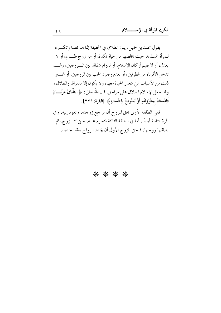يقول محمد بن جميل زينو: الطلاق في الحقيقة إنما هو نعمة وتكــريم للمرأة المسلمة، حيث يخلصها من حياة نكدة، أو من زوج ظــالم، أو لا يعدل، أو لا يقيم أركان الإسلام، أو لدوام شقاق بين الــزوجين، رغـــم تدخل الأقرباء من الطرفين، أو لعدم و جو د الحب بين الزو جين، أو غــــير ذلك من الأسباب التي يتعذر الحياة معها، ولا يكون إلا بالفراق والطلاق، وقد حعل الإسلام الطلاق على مراحل. قال الله تعالى: ﴿ الطَّلَاقُ مَرَّتَــانِ فَإِمْسَاكٌ بمَعْرُوفٍ أَوْ تَسْرِيحٌ بِإحْسَانٍ ﴾ [البقرة: ٢٢٩].

ففي الطلقة الأولى يحق للزوج أن يراجع زوجته، وتعود إليه، وفي المرة الثانية أيضًا، أما في الطلقة الثالثة فتحرم عليه، حتى تتــزوج، ثم يطلقها زوجها، فيحق للزوج الأول أن يجدد الزواج بعقد حديد.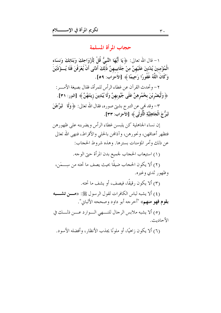حجاب المرأة المسلمة

١ – قال الله تعالى: ﴿ يَا أَيُّهَا النَّبِيُّ قُلْ لِأَزْوَاجِكَ وَبَنَاتِكَ وَنِسَاء الْمُؤْمِنِينَ يُدْنينَ عَلَيْهِنَّ مِنْ جَلَابِيبهِنَّ ذَٰلِكَ أَدْنَى أَنْ يُعْرَفْنَ فَلَا يُسؤَّذَيْنَ وَكَانَ اللَّهُ غَفُورًا رَحِيمًا ﴾ [الأَحزَاب: ٥٩].

٢ – وتحدث القرآن عن غطاء الرأس للمرأة، فقال بصيغة الأمـــر : ﴿ وَلْيَضْرِبْنَ بِخُمُرِهِنَّ عَلَى جُيُوبِهِنَّ وَلَا يُبْدِينَ زِينَتَهُنَّ ﴾ [النور: ٣١].

٣– وقد نمي عن التبرج بشتي صوره، فقال الله تعالى: ﴿ وَلَا ۖ تَبَرَّجْنَ تَبَرُّ جَ الْجَاهِلِيَّةِ الْأُولَى ﴾ [الأحزاب: ٣٣] .

إن نساء الجاهلية كن يلبسن غطاء الرأس ويضربنه على ظهورهن فتظهر أعناقهن، ونحورهن، وآذافين بالحلبي والأقراط، فنهى الله تعالى عن ذلك وأمر المؤمنات بسترها. وهذه شروط الحجاب:

(١) استيعاب الحجاب لجميع بدن المرأة حبّ الوجه.

(٢) ألا يكون الحجاب ضيقًا بحيث يصف ما تحته من سِــــمَن، وظهور ثدي وغيره.

(٣) ألا يكون رقيقًا، فيصف، أو يشف ما تحته.

(٤) ألا يشبه لباس الكافرات لقول الرسول ﷺ: «هــــن تشـــــبه **بقوم فهو منهم»** "أحرجه أبو داود وصححه الألباني".

(٥) ألا يشبه ملابس الرحال للنـــهي الـــوارد عــــن ذلـــك في الأحاديث.

(٦) ألا يكون ; اهيًا، أو ملونًا يجذب الأنظار ، وأفضله الأسود.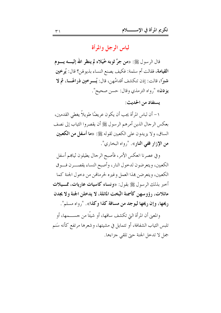لباس الرجل والمرأة

قال الرسول ﷺ: «**من جرَّ ثوبه خُيَلاء لم ينظر الله إليـــــه يــــوم** ا**لقيامة**، فقالت أم سلمة: فكيف يصنع النساء بذيو لهن؟ قال: يُو خين شبرًا، قالت: إذن تنكشف أقدامُهن، قال: يُسوخين ذراعًــا، ثم لا **يزدن**» "رواه الترمذي وقال: حسن صحيح".

يستفاد من الحديث:

١- أن لباس المرأة يجب أن يكون عريضًا طويلاً يغطي القدمين، بعكس الرجال الذين أمرهم الرسول ﷺ أن يقصروا الثياب إلى نصف الساق، ولا يزيدون على الكعبين لقوله ﷺ: «ما أ**سفل من الكعبين** من الإزار ففي النار». "رواه البخاري".

وفي عصرنا انعكس الأمر، فأصبح الرحال يطيلون ثياهم أسفل الكعبين، ويتعرضون لدحول النار، وأصبح النساء يقصـــرن فـــوق الكعبين، ويتعرضن بمذا العمل وغيره لحرمالهن من دحول الجنة كما أحبر بذلك الرسول ﷺ بقول: «ونساء كاسيات عاريات، ممــيلات مائلات، رؤوسهن كأسمنة البُخت المائلة، لا يدخلن الجنة ولا يجدن ريحها، وإن ريحها ليوجد من مسافة كذا وكذا». "رواه مسلم".

والمعنى أن المرأة التي تكشف ساقها، أو شيئًا من حســـمها، أو تلبس الثياب الشفافة، أو تتمايل في مشيتها، و شعرها مرتفع كأنه سَنم جمل لا تدحل الجنة حيّ تلقى جزاءها.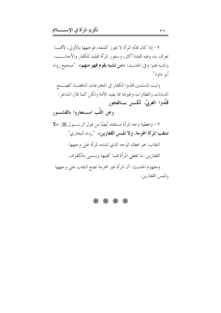٢– إذا كان قدَّم المرأة لا يجوز كشفه، فوجهها بالأولى، لأَلْهَــــا تعرف به، وفيه الفتنة أكثر، وسفور المرأة تقليد للكفار والأجانـــب، وتشبه بهم: وفي الحديث: «**من تشبه بقوم فهو منهم**». "صحيح رواه أبو داود".

وليت المسلمين قلدوا الكفار في المخترعات النافعــة كصـــنع الدبابات والطائرات وغيرها مما يفيد الأمة ولكن كما قال الشاعر: قلَّدوا الغربيَّ، لکـــن بـــالفجور وعن اللَّب اســـتعاروا بالقشـــور ٢- وتغطية وجه المرأة مستفاد أيضًا من قول الرســـول ﷺ: «لا تنتقب المرأة المحرمة، ولا تلبس القفازين». "رواه البخاري". النقاب: هو غطاء الوجه الذي تشده المرأة على وجهها. القفازين: ما تغطي المرأة هما كفيها ويسمى بالكفوف. ومفهوم الحديث: أن المرأة غير المحرمة تضع النقاب على وجهها وتلبس القفازين.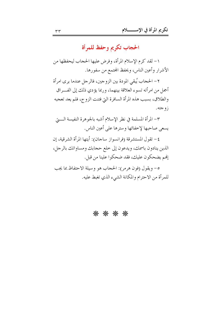الحجاب تكريم وحفظ للمرأة

١- لقد كرم الإسلام المرأة، وفرض عليها الحجاب ليحفظها من الأشرار وأعين الناس، ويحفظ المحتمع من سفورها.

٢- الحجاب يُبقى المودة بين الزوجين، فالرجل عندما يرى امرأة أجمل من امرأته تسوء العلاقة بينهما، وربما يؤدي ذلك إلى الفــراق والطلاق، بسبب هذه المرأة السافرة التي فتنت الزوج، فلم يعد تعجبه زوجته.

٣– المرأة المسلمة في نظر الإسلام أشبه بالجوهرة النفيسة الـــــتي يسعى صاحبها لإخفائها وسترها على أعين الناس.

٤- تقول المستشرقة (فرانسواز ساحان): أيتها المرأة الشرقية، إن الذين ينادون باسمك، ويدعون إلى خلع حجابك ومساواتك بالرجل، إفمم يضحكون عليك، فقد ضحكوا علينا من قبل.

٥- ويقول (فون هرمر): الحجاب هو وسيلة الاحتفاظ بما يجب للمرأة من الاحترام والمكانة الشيء الذي تغبط عليه.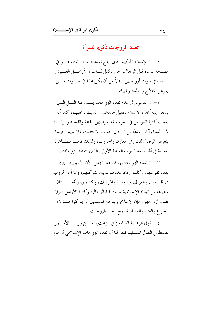تعدد الزوجات تكريم للمرأة

١- إن الإسلام الحكيم الذي أباح تعدد الزوجـــات، هـــو في مصلحة النساء قبل الرحال، حيّ يكفل للبنات والأرامـــل العـــيش السعيد في بيوت أزواجهن. بدلاً من أن يكن عالة في بيـــوت مـــن يعولهن كالأخ والولد، وغيرهما.

٢- إن الدعوة إلى عدم تعدد الزوجات يسبب قلة النسل الذي يسعى إليه أعداء الإسلام لتقليل عددهم، والسيطرة عليهم، كما أنه يسبب كثرة العوانس في البيوت مما يعرضهن للفتنة والفساد والزنسا، لأن النساء أكثر عددًا من الرجال حسب الإحصاء، ولا سيما حينما يتعرض الرجال للقتل في المعارك والحروب، ولذلك قامت مظــاهرة نسائية في ألمانيا بعد الحرب العالمية الأولى يطالبن بتعدد الزوجات.

٣- إن تعدد الزوجات يوافق هذا الزمن، لأن الأمم ينظر إليهـــا بعدد نفو سها، وكلما ازداد عددهم قويت شوكتهم، وبما أن الحروب في فلسطين، والعراق، والبوسنة والهرسك، وكشمير، وأفغانســـتان وغيرها من البلاد الإسلامية سببت قلة الرجال، وكثرة الأرامل اللواتي فقدن أزواجهن، فإن الإسلام يريد من المسلمين ألا يتركوا هـــؤلاء للجوع والفتنة والفساد فسمح بتعدد الزوجات.

٤– تقول الزعيمة العالمية (أيي بيزانت): مـــتي وزنــــا الأمــــور بقسطاس العدل المستقيم ظهر لنا أن تعدد الزوجات الإسلامي أرجح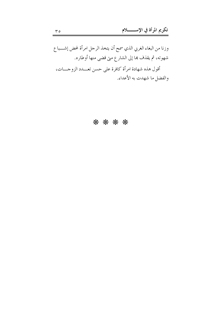وزنا من البغاء الغربي الذي سمح أن يتخذ الرحل امرأة لمحض إشـــباع شهوته، ثم يقذف هما إلى الشارع متى قضى منها أوطاره. أقول هذه شهادة امرأة كافرة على حسن تعـــدد الزوجـــات، والفضل ما شهدت به الأعداء.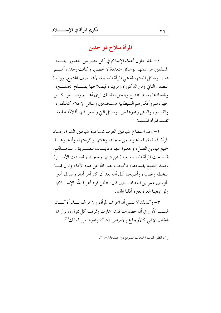## المرأة سلاح ذو حدين

١– لقد حاول أعداء الإسلام في كل عصر من العصور إبعـــاد المسلمين عن دينهم بوسائل متعددة لا تحصي، وكانت إحدى أهـــم هذه الوسائل المستهدفة هي المرأة المسلمة، لألها نصف المحتمع، ووليدة النصف الثاني (من الذكور) ومربيته، فبصلاحها يصـــلح المحتمـــع، وبفسادها يفسد المحتمع وينحل، فلذلك نرى أفمه وضعوا كسل جهودهم وأفكارهم الشيطانية مستخدمين وسائل الإعلام كالتلفاز ، والفيديو، والدش وغيرها من الوسائل التي وضعوا فيها أفلامًا خليعة تفسد المرأة المسلمة.

٢- وقد استطاع شياطين الغرب بمساعدة شياطين الشرق إفساد المرأة المسلمة، فسلخوها من حجاها وعفتها و كرامتها، وأدحلوهـــا جميع ميادين العمل، وجعلوا منها دعايـــات لتصـــريف منتجـــاتمم، فأصبحت المرأة المسلمة بعبدة عن دينها و حجاها، ففسدت الأســـرة وفسد المحتمع بفسادها، فانحجب نصر الله عن هذه الأمة، ونزل همـــا سخطه وغضبه، وأصبحنا أذل أمة بعد أن كنا أعز أُمة، وصدق أمير المؤمنين عمر بن الخطاب حين قال: «نحن قوم أعزنا الله بالإســــلام، ولو ابتغينا العزة بغيره أذلنا الله».

٣- وكذلك لا ننسى أن انحراف المرأة، والانحراف بـــالمرأة كــــان السبب الأول في أن حضارات قديمة الهارت وتمزقت كل ممزق، ونزل ها العقاب الإلهي كالأوجاع والأمراض الفتاكة وغيرها من الممالك''.

<sup>(</sup>١) انظر كتاب الحجاب للمودودي صفحة٦-٣٦.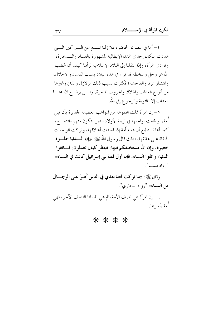٤- أما في عصرنا الحاضر، فلا زلنا نسمع عن الـــبراكين الــــتي هددت سكان إحدى المدن الإيطالية المشهورة بالفساد والسدعارة، ونوادي المرأة، وإذا انتقلنا إلى البلاد الإسلامية لرأينا كيف أن غضب الله عز وجل و سخطه قد نزل في هذه البلاد بسبب الفساد والانحلال، وانتشار الزنا والفاحشة؛ فكثرت بسبب ذلك الزلازل والفتن وغيرها من أنواع العذاب والهلاك والحروب المدمرة، ولـــن يرفـــع الله عنـــا العذاب إلا بالتوبة والرجوع إلى الله.

٥- إن المرأة تملك مجموعة من المواهب العظيمة الجديرة بأن تبين أُمة، لو قامت بواجبها في تربية الأولاد الذين يتكون منهم المحتمـــع، كما ألها تستطيع أن تمدم أُمة إذا فسدت أخلاقها، وتركت الواجبات الملقاة على عاتقها، لذلك قال رسول الله ﷺ: «إن **الـــدنيا حلــــوة** خضرة، وإن الله مستخلفكم فيها، فينظر كيف تعملون، فساتقوا الدنيا، واتقوا النساء، فإن أول فتنة بني إسرائيل كانت في النساء» ", واه مسلم".

وقال ﷺ: «ما تركت فتنة بعدي في الناس أَضرَّ على الرجـــال من النساء» ", واه البخاري".

٦- إن المرأة هي نصف الأمة، ثم هي تلد لنا النصف الآخر، فهي أُمة بأسرها.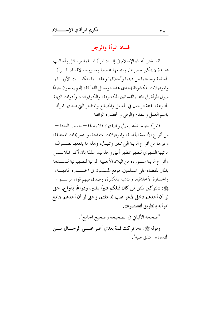## فساد المرأة والرجل

لقد تفنن أعداء الإسلام في إفساد المرأة المسلمة بو سائل وأساليب عديدة لا يمكن حصرها، وجميعها مخططة ومدروسة لإفساد المسرأة المسلمة وسلحها من دينها وأحلاقها وعفتسها، فكانست الأزيساء والموديلات المكشوفة إحدى هذه الوسائل الفتاكة، إنهم يعلمون جيدًا ميول المرأة إلى اقتناء الفساتين المكشوفة، والكوفيرات، وأدوات الزينة المتنوعة، لفتنة الرحال في المعامل والمصانع والمتاحر التي دخلتها المرأة باسم العمل والتقدم والرقى والحضارة الزائفة.

فالمرأة حينما تذهب إلى وظيفتها، فلا بد لها – حسب العادة – من أنواع الألبسة الجذابة، والموديلات المتعددة، والتسريحات المختلفة، وغيرها من أنواع الزينة التي تتغير وتتبدل، وهذا ما يدفعها لصـــرف مرتبها الشهري لتظهر بمظهر أنيق وحذاب، علمًا بأن أكثر الملابسس وأنواع الزينة مستوردة من البلاد الأجنبية الموالية للصهيونية لتمـــدها بالمال للقضاء على المسلمين، فوقع المسلمون في الخســـارة الماديـــة، والخسارة الأحلاقية، والتشبه بالكفرة، وصدق فيهم قول الرســول ﷺ: «لتركبن سَنن مَن كان قبلكم شبرًا بشبر، وذراعًا بذراع، حتى لو أن أحدهم دخل جُحرٍ ضب لدخلتم، وحتى لو أن أحدهم جامع امر أته بالطريق لفعلتموه».

"صححه الألباني في الصحيحة وصحيح الجامع".

وقوله ﷺ: «ما توكت فتنة بعدي أضو عليه الوجسال مسن ا**لنساء**» "متفق عليه".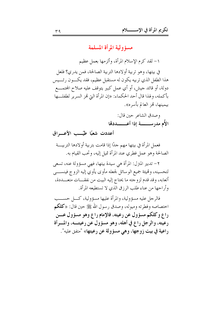مسؤولية المرأة المسلمة

١- لقد كرم الإسلام المرأة، وألزمها بعمل عظيم

في بيتها، وهو تربية أولادها التربية الصالحة، فمن يدري؟ فلعل هذا الطفل الذي تربيه يكون له مستقبل عظيم، فقد يكـــون رئــــيس دولة، أو قائد جيش، أو أي عمل كبير يتوقف عليه صلاح المحتمـــع بأكمله، ولهذا قال أحد الحكماء: «إن المرأة التي تمز السرير لطفلـــها بيمينها، تمز العالم بأسره».

> وصدق الشاعر حين قال: الأُم مدرســــــــة إذا أعـــــــددقا

أعددت شعبًا طيّب الأعب اق

فعمل المرأة في بيتها مهم جدًا إذا قامت بتربية أو لادها التربيسة الصالحة وهو عمل فطري عند المرأة تميل إليه، وتحب القيام به.

٢- تدبير المترل: المرأة هي سيدة بيتها، فهي مسؤولة عنه، تسعى لتحسينه، وتميئة جميع الوسائل لجعله مأوى يأوي إليه الزوج فينســـي أتعابه، وقد قدم لزوجته ما يحتاج إليه البيت من نفقــــات متعــــددة، وأراحها من عناء طلب الرزق الذي لا تستطيعه المرأة.

فالرجل عليه مسؤولية، والمرأة عليها مسؤولية، كــل حســب احتصاصه وفطرته وميوله، وصدق رسول الله ﷺ حين قال: «كلكم راع وكلكم مسؤول عن رعيته، فالإمام راع وهو مسؤول عـــن رعيته، والرجل راع في أهله، وهو مسؤول عن رعيتــه، والمـــرأة راعية في بيت زوجها، وهي مسؤولة عن رعيتها» "متفق عليه".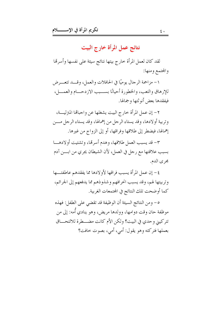# نتائج عمل المرأة خارج البيت

لقد كان لعمل المرأة خارج بيتها نتائج سيئة على نفسها وأسرتما والمحتمع ومنها:

١- مزاحمة الرحال يوميًا في الحافلات والعمل، وقـــد تتعـــرض للإرهاق والتعب، والخطورة أحيانًا بســـبب الاز دحـــام والعمـــل، فيفقدها بعض أنوثتها وجمالها.

٢- إن عمل المرأة خارج البيت يشغلها عن واجبالها المترليـــة، وتربية أولادها، وقد يستاء الرحل من إهمالها، وقد يستاء الرحل مـــن إهمالها، فيضطر إلى طلاقها وفراقها، أو إلى الزواج من غيرها.

٣- قد يسبب العمل طلاقها، وهدم أسرتها، وتشتيت أولادهـــا بسبب علاقتها مع رجل في العمل، لأن الشيطان يجري من ابـــن آدم مجري الدم.

٤ – إن عمل المرأة يسبب فراقها لأو لادها مما يفقدهم عاطفتـــها وتربيتها لهم، وقد يسبب انحرافهم وشذوذهم مما يدفعهم إلى الحرائم، كما أوضحت تلك النتائج في المحتمعات الغربية.

ه – ومن النتائج السيئة أن الوظيفة قد تقضى على الطفل: فهذه موظفة حان وقت دوامها، وولدها مريض، وهو ينادي أُمه: إلى من تتركيبي وحدى في البيت؟ ولكن الأم كانت مضطرة للالتحــاق بعملها فتركته وهو يقول: أمي، أمي، بصوت خافت؟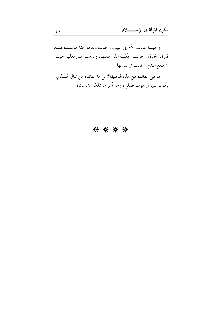وحينما عادت الأم إلى البيت وجدت ولدها جثة هامسدة قسد فارق الحياة، وحزنت وبكت على طفلها، وندمت على فعلها حيث لا ينفع الندم، وقالت في نفسها:

ما هي الفائدة من هذه الوظيفة؟ بل ما الفائدة من المال الــــذي يكون سببًا في موت طفلي، وهو أعز ما يملكه الإنسان؟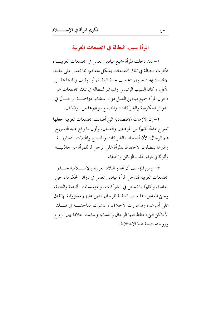المرأة سبب البطالة في المجتمعات الغربية

١- لقد دخلت المرأة جميع ميادين العمل في المحتمعات الغربيــــة، فكثرت البطالة في تلك المحتمعات بشكل متفاقم، مما تعسر على علماء الاقتصاد إيجاد حلول لتخفيف حدة البطالة، أو توقيف زيادهّا علـــى الأقل، وكان السبب الرئيسي والمباشر للبطالة في تلك المحتمعات هو دخول المرأة جميع ميادين العمل دون استثناء: مزاحمـــة الرجـــال في الدوائر الحكومية والشركات، والمصانع، وغيرها من الوظائف.

٢- إن الأزمات الاقتصادية التي أصابت المحتمعات الغربية جعلها تسرح عددًا كبيرًا من الموظفين والعمال، وأول ما وقع عليه التسريح هم الرجال، لأن أصحاب الشركات والمصانع والمحلات التجاريـــة وغيرها يفضلون الاحتفاظ بالمرأة على الرجل لما للمرأة من جاذبيـــة وأنوثة وإغراء لجلب الزبائن والحلفاء.

٣- ومن المؤسف أن تحذو البلاد العربية والإســــلامية حــــذو المحتمعات الغربية فتدحل المرأة ميادين العمل في دوائر الحكومة، حيّ المحاماة، وكثيرًا ما تدحل في الشركات، والمؤسسات الخاصة والعامة، وحيّ المعامل، مما سبب البطالة للرحال الذين عليهم مسؤولية الإنفاق على أسرهم، وتدهورت الأحلاق، وانتشرت الفاحشــة في تلـــك الأماكن التي اختلط فيها الرجال والنساء، وساءت العلاقة بين الزوج وزوجته نتبجة هذا الاختلاط.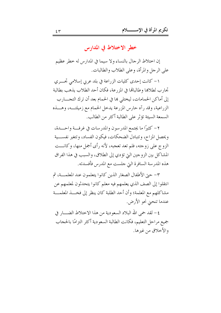خطر الاختلاط في المدارس

إن اختلاط الرجال بالنساء ولا سيما في المدارس له خطر عظيم على الرحل والمرأة، وعلى الطلاب والطالبات.

١- كانت إحدى كليات الزراعة في بلد عربي إسلامي تحـــري تحارب لطلاها وطالبالها في المزرعة، فكان أحد الطلاب يذهب بطالبة إلى أماكن الحمامات، ليختلي ها في الحمام بعد أن ترك التجـــارب الزراعية، وقد رآه حارس المزرعة يدخل الحمام مع زميلتـــه، وهـــذه السمعة السيئة تؤثَّر على الطالبة أكثر من الطالب.

٢ – كثيرًا ما يجتمع المدرسون والمدرسات في غرفــة واحـــدة، ويحصل المزاح، وتتبادل الضحكات، فيكون الفساد، وتتغير نفســـية الزو ج على زوجته، فلم تعد تعجبه، لأنه رأى أجمل منها، وكانـــت المشاكل بين الزوجين التي تؤدي إلى الطلاق، والسبب في هذا الفراق هذه المدرسة السافرة التي حلست مع المدرس فأفسدته.

٣- حيّ الأطفال الصغار الذين كانوا يتعلمون عند المعلمـــة، ثم انتقلوا إلى الصف الذي يعلمهم فيه معلم كانوا يتحدثون لمعلمهم عن مشاكلهم مع المعلمة؛ وأن أحد الطلبة كان ينظر إلى فخـــذ المعلمـــة عندما تنحيٰ نحو الأرض.

٤– لقد حمى الله البلاد السعودية من هذا الاختلاط الضــــار في جميع مراحل التعليم، فكانت الطالبة السعودية أكثر التزامًا بالحجاب والأحلاق من غيرها.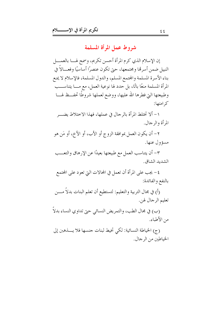شروط عمل المرأة المسلمة

إن الإسلام الذي كرم المرأة أحسن تكريم، وسمح لهـــا بالعمــــل النبيل ضمن أسرهًا ومجتمعها، حتى تكون عنصرًا أساسيًا وفعـــالاً في بناء الأسرة المسلمة والمحتمع المسلم، والدول المسلمة، فالإسلام لا يمنع المرأة المسلمة منعًا باتًا، بل حدد لها نوعية العمل، مع مــــا يتناســــب وطبيعتها اليّ فطرها الله عليها، ووضع لعملها شروطًا تحفــظ لهـــا کہ امتھا:

١- ألا تختلط المرأة بالرجال في عملها، فهذا الاختلاط يضــــر المرأة والرجال.

٢- أن يكون العمل بموافقة الزوج أو الأب، أو الأخ، أو مَن هو مسؤول عنها.

٣– أن يتناسب العمل مع طبيعتها بعيدًا عن الإرهاق والتعـــب الشديد الشاق.

٤- يجب على المرأة أن تعمل في المحالات التي تعود على المحتمع بالنفع والفائدة:

(أ) في مجال التربية والتعليم: لتستطيع أن تعلم البنات بدلاً مـــن تعليم الرجال لهن.

(ب) في مجال الطب، والتمريض النسائي حتى تداوي النساء بدلاً من الأطباء.

(ج) الخياطة النسائية: لكي تخيط لبنات جنسها فلا يــــذهبن إلى الخياطين من الرجال.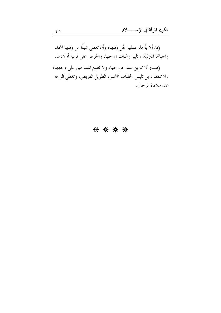(د) ألا يأخذ عملها جُلٍ وقتها، وأن تعطي شيئًا من وقتها لأداء واجبالها المترلية، وتلبية رغبات زوجها، والحرص على تربية أولادها. (هـ) ألا تتزين عند خروجها، ولا تضع المساحيق على وجهها، ولا تتعطر، بل تلبس الجلباب الأسود الطويل العريض، وتغطى الوجه عند ملاقاة الرجال.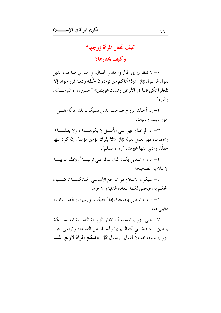# كيف تختار المرأة زوجها؟

وكيف يختارها؟

١- لا تنظري إلى المال والجاه والجمال، واختاري صاحب الدين لقول الرسول ﷺ: «إذا أتاكم من ترضون خُلُقه ودينه فزوجوه، إلا تفعلوا تكن فتنة في الأرض وفساد عريض» "حسن رواه الترمـــذي وغيره".

٢- إذا أحبك الزوج صاحب الدين فسيكون لك عونًا علــي أمور دينك ودنياك.

٣- إذا لم يحبك فهو على الأقـــل لا يكرهـــك، ولا يظلمـــك ويحتقرك، فهو يعمل بقوله ﷺ: «لا يفرك مؤمن مؤمنة، إن كره منها خلقًا، رضي منها غيره». "رواه مسلم".

٤– الزوج المتدين يكون لك عونًا على تربيـــة أولادك التربيـــة الاسلامية الصحيحة.

ه- سيكون الإسلام هو المرجع الأساسي لحياتكمــا ترضــيان الحكم به، فيحقق لكما سعادة الدنيا والآخرة.

٦- الزوج المتدين ينصحك إذا أحطأت، ويبين لك الصــواب، فاقبلي منه.

٧- على الزوج المسلم أن يختار الزوجة الصالحة المتمســكة بالدين، المحجبة التي تحفظ بيتها وأسرها من الفساد، وتراعي حق الزوج عليها امتثالاً لقول الرسول ﷺ: «**تنكح المرأة لأربع: لمـــا**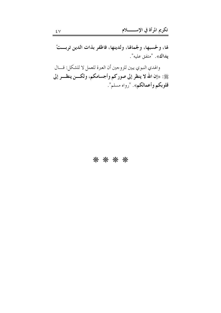لها، ولحسبها، ولجمالها، ولدينها، فاظفر بذات الدين تربستْ يداك». "متفق عليه".

والهدي النبوي يبين للزوجين أن العبرة للعمل لا للشكل: قـــال ﷺ: «إن الله لا ينظر إلى صوركم وأجسامكم، ولكـــن ينظـــر إلى قلوبكم وأعمالكم». "رواه مسلم".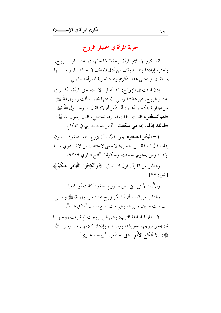حرية المرأة في اختيار الزوج

لقد كرم الإسلام المرأة، وحفظ لها حقها في اختيــــار الــــزوج، واحترم إرادتما وهذا الموقف من أدق المواقف في حيالهــــا، وأمسِّـــها بمستقبلها ويتجلى هذا التكريم وهذه الحرية للمرأة فيما يلي:

إذن البنت في الزواج: لقد أعطى الإسلام حق المرأة البكــر في اختيار الزوج. عن عائشة رضي الله عنها قال: سألت رسول الله ﷺ عن الجارية يُنكحها أهلها، أتُستأمر أم لا؟ فقال لها رســـول الله ﷺ: «نعم تُستأَمَرِ » فقالت: فقلت له: إنها تستحي، فقال رسول الله ﷺ: «فذلك إذها، إذا هي سكتت» "أحرجه البخاري في النكاح".

١ – البكر الصغيرة: يجوز للأب أن يزوج بنته الصغيرة بـــدون إذها، قال الحافظ ابن حجر إذ لا معنى لاستئذان من لا تــــدري مــــا الإذن؟ ومن يستوي سخطها وسكوتما. "فتح الباري ١٩٣/٩".

والدليل من القرآن قول الله تعالى: ﴿ وَأَنْكِحُوا ۚ الْأَيَامَى ۚ مِنْكُمْ ﴾  $\lceil \mathbf{r} \mathbf{r} : \mathbf{r} \rceil$ 

والأَيِّم: الأنثى التي ليس لها زوج صغيرة كانت أو كبيرة.

والدليل من السنة أن أبا بكر زوج عائشة رسول الله ﷺ وهـــي بنت ست سنين، وبني ها وهي بنت تسع سنين. "متفق عليه".

٢- المرأة البالغة الثيب: وهي التي تزوجت ثم فارقت زوجهــا فلا يجوز تزويجها بغير إذنها ورضاها، وإذها: كلامها. قال رسول الله ﷺ: «لا تُنكح الأيُّم: حتى تُستأمر» "رواه البخاري"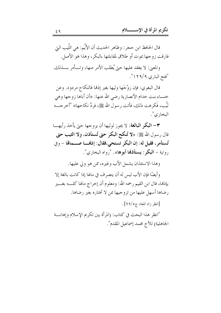قال الحافظ ابن حجر: وظاهر الحديث أن الأيِّم: هي الَّتيب التي فارقت زوجها بموت أو طلاق لمقابلتها بالبكر ، وهذا هو الأصل.

والمعنى: لا يعقد عليها حيٍّ يُطلب الأمر منها، وتسأمر بسذلك. "فتح الباري ٢٩/٩".

قال البغوي: فإن زوِّجَها وليها بغير إذها فالنكاح مردود. وعن حنساء بنت حدام الأنصارية رضي الله عنها: «أن أباها زوجها وهي تُبِّب، فَكرهت ذلك، فأتت رسول الله ﷺ، فردَّ نكاحها» "أخرجـــه البخاري".

٣- البكر البالغة: لا يجوز لوليها أن يزوجها حتى يأخذ رأيهـــا قال رسول الله ﷺ: «لا تُنكح البكر حتى تُستأذن، ولا الثيب حتى تُستأمرٍ، فقيل له: إن البكر تستحي،فقال: إذهْـــا صـــمالها - وفي رواية – **البكر : يستأذهَا أبوها**». "رواه البخاري".

وهذا الاستئذان يشمل الأب وغيره، ممن هو ولي عليها.

وأيضًا فإن الأب ليس له أن يتصرف في مالها إذا كانت بالغة إلا بإذنها، قال ابن القيم رحمه الله: ومعلوم أن إحراج مالها كلـــه بغــــير رضاها أسهل عليها من تزوجيها بمن لا تختاره بغير رضاها.

[انظر زاد المعاد ج٥/٩٩].

"انظر هذا البحث في كتاب: (المرأة بين تكريم الإسلام وإهانـــة الجاهلية) للأخ محمد إسماعيل المقدم".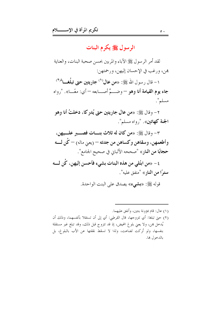# الرسول ﷺ یکرم البنات

لقد أمر الرسول ﷺ الآباء والمربين بحسن صحبة البنات، والعناية هن، ورغب في الإحسان إليهن، ورحمتهن:

١– قال , سول الله ﷺ: «من عال<sup>(١)</sup> جاريتين حتى تبلُغــا<sup>ذ(٢)</sup> جاء يوم القيامة أنا وهو — وضهَّ أصـــابعه — أي: معًـــا». "رواه مسلم".

٢- وقال ﷺ: «من عال جاريتين حتى يُدرِكا، دخلتُ أنا وهو الجنة كهاتين». "رواه مسلم".

٣- وقال ﷺ: «من كان له ثلاث بنسات فصـــــــــر علــــــــهن، وأطعمهن، وسقاهن وكساهن من جدته — (يعني ماله) — كُن لــــه حجابًا من النار» "صححه الألباني في صحيح الحامع".

٤ – «من ابتُلي من هذه البنات بشيء فأحسن إليهن، كُن لــــه **سترًا من النار**» "متفق عليه".

قوله ﷺ: «بشيء» يصدق على البنت الواحدة.

(١) عال: قام بمؤونة بنتين، وأنفق عليهما.

(٢) حتى تبلغا: أي تتزوجها، قال القرطبي: أي إلى أن تستقلا بأنفسهما، وذلك أن يُدخل هِن، ولا يعني بلوغ المحيض، إذ قد تتزوج قبل ذلك، وقد تبلغ غير مستقلة بنفسها، ولو تُركت لضاعت، ولذا لا تسقط نققتها عن الأب بالبلوغ، بل بالدحول ها.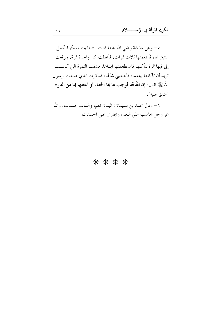0- وعن عائشة رضي الله عنها قالت: «جاءت مسكينة تحمل ابنتين لها، فأطعمتها ثلاث تمرات، فأعطت كل واحدة تمرة، ورفعت إلى فيها تمرة لتأكلها فاستطعمتها ابنتاها، فشقت التمرة التي كانـــت تريد أن تأكلها بينهما، فأعجبني شألها، فذكرت الذي صنعت لرسول الله ﷺ فقال: إن الله قد أوجب لها بما الجنة، أو أعتقها بما من النار» "متفق عليه".

٦- وقال محمد بن سليمان: البنون نعم، والبنات حسنات، والله عز وحل يحاسب على النعم، ويجازي على الحسنات.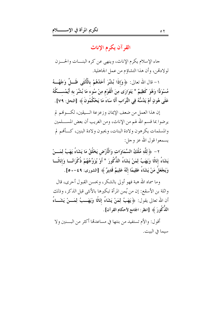# القرآن يكرم الإناث

جاء الإسلام يكرم الإناث، وينهي عن كره البنسات والحسزن لولادتهن، وأن هذا التشاؤم من عمل الجاهلية.

١ – قال الله تعالى: ﴿ وَإِذَا بُشِّرَ أَحَدُهُمْ بِالْأُنْثَى ظَـــلَّ وَجْهُـــهُ مُسْوَدًّا وَهُوَ كَظِيمٌ \* يَتَوَارَى مِنَ الْقَوْمِ مِنْ سُوءِ مَا بُشِّرَ بِهِ أَيُمْســكُهُ عَلَى هُونٍ أَمْ يَدُسُّهُ فِي التُّرَابِ أَلَا سَاءَ مَا يَحْكُمُونَ ﴾ [النحل: ٧٩] .

إن هذا العمل من ضعف الإيمان وزعزعة السيقين، لكسوفم لم يرضوا بما قسم الله لهم من الإناث، ومن الغريب أن بعض المســـلمين والمسلمات يكرهون ولادة البنات، ويحبون ولادة البنين، كــأفمم لم يسمعوا قول الله عز وجل:

٢ – ﴿ لِلَّهِ مُلْكُ السَّمَاوَاتِ وَالْأَرْضِ يَخْلُقُ مَا يَشَاءُ يَهَبُ لِمَسنْ يَشَاءُ إِنَاثًا وَيَهَبُ لِمَنْ يَشَاءُ الذُّكُودَ \* أَوْ يُزَوِّجُهُمْ ذُكْرَانًــا وَإِنَاثَــا وَيَجْعَلُ مَنْ يَشَاءُ عَقِيمًا إِنَّهُ عَلِيمٌ قَدِيرٌ ﴾ [الشورى: ٤٩-٥٠].

وما سماه الله هبة فهو أولى بالشكر ، وبحسن القبول أحرى، قال واثلة بن الأسقع: إن من يُمن المرأة تبكيرها بالأنثى قبل الذكر ، وذلك أن الله تعالى يقول: ﴿ يَهَبُ لِمَنْ يَشَاءُ إِنَاثًا وَيَهَــبُ لِمَـــنْ يَشَـــاءُ اللذُّكُورَ ﴾ [انظر: الجامع لأحكام القرآن] .

أقول: والأم تستفيد من بنتها في مساعدها أكثر من البينين ولا سبما في البت.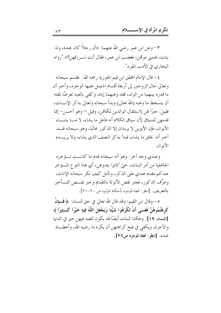٣- وعن ابن عمر رضي الله عنهما: «أن رجلاً كان عنده، وله بنات، فتمني موتمن، فغضب ابن عمر، فقال أنت تـــرزقهن؟» "رواه البخاري في الأدب المفرد".

٤– قال الإمام المحقق ابن قيم الجوزية رحمه الله: ۖ فقسم سبحانه وتعالى حال الزوجين إلى أربعة أقسام اشتمل عليها الوجود، وأحبر أن ما قدره بينهما من الولد، فقد وهبهما إياه، وكفي بالعبد تعرضًا لمقته أن يتسخط ما وهبه (الله تعالى) وبدأ سبحانه وتعالى بذكر الإنساث، فقيل: جيرًا لهن لاستثقال الوالدين لمكافين، وقيل — وهو أحسن— إنما قدمهن للسياق لأن سياق الكلام أنه فاعل ما يشاء، لا مـــا يشــــاء الأبوان، فإن الأبوين لا يريدان إلا الذكور غالبًا، وهو سبحانه قـــد أخبر أنه يخلق ما يشاء، فبدأ بذكر النصف الذي يشاء، ولا يريــــده الأبوان.

وعندي وجه آخر : وهو أنه سبحانه قدم ما كانـــت تـــؤخره الجاهلية من أمر البنات، حتى كانوا يئدوهن، أي هذا النو ع المــــؤ حر عندكم مقدم عندي على الذكر ، وتأمل كيف نكر سبحانه الإناث، وعرَّف الذكور ، فجبر نقص الأنوثة بالتقديم وجبر نقــص التـــأخير بالتعريف. [انظر: تحفة المودود بأحكام المولود ص ٢٠-٢١].

٥– وقال ابن القيم: وقد قال الله تعالى في حق النساء: ﴿ فَسِإِنْ كَرِهْتُمُوهُنَّ فَعَسَى أَنْ تَكْرَهُوا شَيْئًا وَيَجْعَلَ اللَّهُ فِيهِ خَيْرًا كَــثِيرًا ﴾ [النساء: ١٩] . وهكذا البنات أيضًا قد يكون للعبد فيهن حير في الدنيا والآخرة، ويكفى في قبح كراهتهن أن يكره ما رضيه الله، وأعطـــاه عبده. [انظر: تحفة المودود ص٢٦].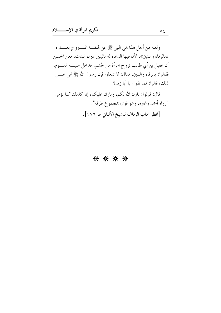ولعله من أحل هذا فمي النبي ﷺ عن قمنته المتـــزوج بعبــــارة: «بالرفاء والبنين»، لأن فيها الدعاء له بالبنين دون البنات، فعن الحسن أن عقيل بن أبي طالب تزوج امرأة من جُشم، فدخل عليــــه القــــوم، فقالوا: بالرفاء والبنين، فقال: لا تفعلوا فإن رسول الله ﷺ فمي عــــن ذلك، قالوا: فما نقول يا أبا زيد؟

قال: قولوا: بارك الله لكم، وبارك عليكم، إنا كذلك كنا نؤمر. "رواه أحمد وغيره، وهو قوي بمجموع طرقه". [انظر آداب الزفاف للشيخ الألباني ص١٧٦].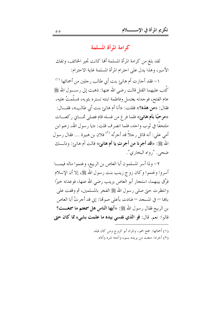#### كرامة المرأة المسلمة

لقد بلغ من كرامة المرأة المسلمة ألها كانت تحير الخائف، وتفك الأسير، وهذا يدل على احترام المرأة المسلمة غاية الاحترام:

١- فقد أجازت أم هانئ بنت أبي طالب رحلين من أحمائها (') كُتب عليهما القتل قالت رضي الله عنها: ذهبت إلى رســــول الله ﷺ عام الفتح، فوجدته يغتسل وفاطمة ابنته تستره بثوبه، فسلَّمتُ عليه، فقال: «من هذه؟» فقلت: «أنا أم هانئ بنت أبي طالب»، فقــــال: «مرحبًا بأم هانئ» فلما فرغ من غسله قام فصلي ثمـــايي ركعـــات ملتحفًا في ثوب واحد، فلما انصرف قلت: «يا رسول الله، زعم ابن أمي علي: أنه قاتل رحلاً قد أحرتُه <sup>(٢)</sup> فلان بن هبيرة … فقال رسول الله ﷺ: «قد أجرنا من أجرتِ يا أم هانئ» قالت أم هانئ: وذلــك ضحي. ", واه البخاري".

٢- ولما أسر المسلمون أبا العاص بن الربيع، وغنموا ماله فيمـــا أسروا وغنموا وكان زوج زينب بنت رسول الله ﷺ، إلا أن الإسلام فرَّق بينهما، استجار أبو العاص بزينب رضي الله عنها، فوعدته خيرًا وانتظرت حيٍّ صلى رسول الله ﷺ الفجر بالمسلمين، ثم وقفت على باهِما — في المسجد — فنادت بأعلى صوتها: إني قد أجرتُ أبا العاص بن الربيع فقال رسول الله ﷺ: «أ**يها الناس هل سمعتم ما سمعـــت**؟ قالوا: نعم. قال: فو الذي نفسي بيده ما علمت بشيء مما كان حتى

> (١) أحمائها: جمع حمو، والمراد أبو الزوج ومن كان قبله. (٢) أجرته: منعت من يريده بسوء وآمنته شره وأذاه.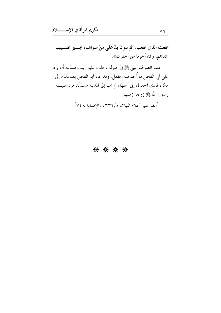سمعت الذي سمعتم، المؤمنون يدٌ على منَ سواهم، يجــــير علــــيهم أدناهم، وقد أجرنا من أجارت».

فلما انصرف النبي ﷺ إلى منزله دخلت عليه زينب فسألته أن يرد على أبي العاص ما أُخذ منه، ففعل. وقد عاد أبو العاص بعد ذلك إلى مكة، فأدى الحقوق إلى أهلها، ثم آب إلى المدينة مسلمًا، فرد عليــــه رسول الله ﷺ زوجه زينب.

[انظر سير أعلام النبلاء ٣٣٢/١، والإصابة ٧٤٨].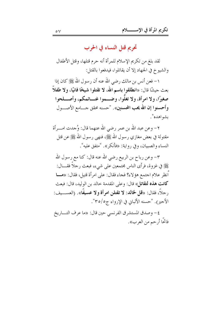#### تحريم قتل النساء في الحرب

لقد بلغ من تكريم الإسلام للمرأة أنه حرم قتلها، وقتل الأطفال والشيوخ في الجهاد إلا أن يقاتلوا، فيدفعوا بالقتل:

١– فعن أنس بن مالك رضي الله عنه أن رسول الله ﷺ كان إذا بعث حيشًا قال: «انطلقوا باسم الله، لا تقتلوا شيخًا فانيًا، ولا طفلاً ۖ صغيرًا، ولا امرأة، ولا تغلَّوا، وضــموا غنــائمكم، وأصـــلحوا وأحسنوا إن الله يحب المحسنين». "حسنه محقق حـــامع الأصـــول بشواهده".

٢– وعن عبد الله بن عمر رضي الله عنهما قال: وُجدت امـــرأة مقتولة في بعض مغازي رسول الله ﷺ، فنهي رسول الله ﷺ عن قتل النساء والصبيان، وفي رواية: «فأنكر». "متفق عليه".

٣– وعن رباح بن الربيع رضي الله عنه قال: كنا مع رسول الله ﷺ في غزوة، فرأى الناس مجتمعين على شيء، فبعث رحلاً فقــــال: اُنظر علام اجتمع هؤلاء؟ فجاء فقال: على امرأة قتيل، فقال: «مـــا كانت هذه لتقاتل» قال: وعلى المقدمة حالد بن الوليد، قال: فبعث رِحِلاً، فقال: «قُل لِخالد: لا تقتلن امرأة ولا عسيفًا». (العســـيف: الأحير). "حسنه الألباني في الإرواء ج٥/٥٣".

٤- وصدق المستشرق الفرنسي حين قال: «ما عرف التـــاريخ فاتحًا أرحم من العرب».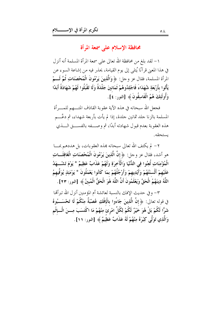محافظة الإسلام على سمعة المرأة

١– لقد بلغ من محافظة الله تعالى على سمعة المرأة المسلمة أنه أنزل في هذا المعنى قرآنًا يُتلى إلى يوم القيامة، يحذر فيه من إشاعة السوء عن المرأة المسلمة، فقال عز وجل: ﴿ وَالَّذِينَ يَرْمُونَ الْمُحْصَنَاتِ ثُمَّ لَـــمْ يَأْتُوا بأَرْبَعَةِ شُهَدَاءَ فَاجْلِدُوهُمْ ثَمَانينَ جَلْدَةً وَلَا تَقْبَلُوا لَهُمْ شَهَادَةً أَبَدًا وَأُولَٰئِكَ هُمُ الْفَاسِقُونَ ﴾ [النور: ٤].

فجعل الله سبحانه في هذه الآية عقوبة القاذف المتــــهم للمــــرأة المسلمة بالزنا جلد ثمانين جلدة، إذا لم يأت بأربعة شهداء، ثم دعَّـــم هذه العقوبة بعدم قبول شهادته أبدًا، ثم وصـــفه بالفســـق الـــذي يستحقه.

٢ – لم يكتف الله تعالى سبحانه بهذه العقوبات، بل هددهم بمـــا هو أشد، فقال عز وحل: ﴿ إِنَّ الَّذِينَ يَرْمُونَ الْمُحْصَنَاتِ الْغَافِلَــاتِ الْمُؤْمِنَاتِ لُعِنُوا فِي الدُّنْيَا وَالْآَخِرَةِ وَلَهُمْ عَذَابٌ عَظِيمٌ \* يَوْمَ تَشْـــهَدُ عَلَيْهِمْ أَلْسنَتُهُمْ وَأَيْدِيهِمْ وَأَرْجُلُهُمْ بِمَا كَانُوا يَعْمَلُونَ \* يَوْمَئِذٍ يُوَفِّيهِمُ اللَّهُ دِينَهُمُ الْحَقَّ وَيَعْلَمُونَ أَنَّ اللَّهَ هُوَ الْحَقُّ الْمُبينُ ﴾ [النور: ٢٣].

٣– وفي حديث الإفك بالنسبة لعائشة أم المؤمنين أنزل الله تبرأتما فِي قوله تعالى: ﴿ إِنَّ الَّذِينَ جَاءُوا بِالْإِفْكِ عُصْبَةٌ مِنْكُمْ لَا تَحْسَـــبُوهُ شَرًّا لَكُمْ بَلْ هُوَ خَيْرٌ لَكُمْ لِكُلِّ امْرِئَ مِنْهُمْ مَا اكْتَسَبَ مِـــنَ الْـــاِثْمِ وَالَّذِي تَوَلَّى كِبْرَهُ مِنْهُمْ لَهُ عَذَابٌ عَظِيمٌ ﴾ [النور: ١١].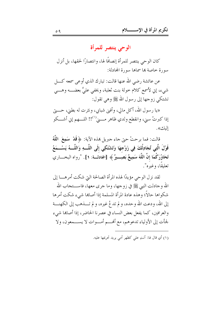الوحى ينتصر للمرأة

كان الوحي ينتصر للمرأة إنصافًا لها، وانتصارًا لحقها، بل أنزل سورة خاصة بها سماها سورة المحادلة:

عن عائشة رضي الله عنها قالت: تبارك الذي أوعى سمعه كــــل شيء، إني لأسمع كلام خولة بنت ثعلبة، ويخفي عليَّ بعضــــه وهــــي تشتكي زوجها إلى رسول الله ﷺ وهي تقول:

«يا رسول الله، أكل مالي، وأفنى شبابي، ونثرت له بطني، حـــــتى إذا كبرتْ سني، وانقطع ولدي ظاهر مــــن''!! اللــــهم إني أشـــكو الىك».

قالت: فما برحتْ حتى حاء حبريل هذه الآية: ﴿ قَلْ ۚ سَمِعَ ۚ اللَّهُ قَوْلَ الَّتِي تُجَادِلُكَ فِي زَوْجِهَا وَتَشْتَكِي إِلَى اللَّــهِ وَاللَّـــهُ يَسْـــمَعُ تَحَاوُرَكُمَا إنَّ اللَّهَ سَمِيعٌ بَصِـــيرٌ ﴾ [المجادلـــة: ١]. "رواه البخــــاري تعليقًا، وغيره".

لقد نزل الوحي مؤيدًا لهذه المرأة الصالحة التي شكت أمرهــــا إلى الله وحادلت النبي ﷺ في زوجها، وما جرى معها، فاســـتجاب الله شكواها حالاً؛ وهذه عادة المرأة المسلمة إذا أصابها شيء شكت أمرها إلى الله، ودعت الله وحده، و لم تد عُ غيره، و لم تــــذهب إلى الكهنــــة والعرافين، كما يفعل بعض النساء في عصرنا الحاضر، إذا أصاهما شيء لجأت إلى الأولياء تدعوهم، مع ألهـــم أمـــوات لا يســـمعون، ولا

(١) أي قال لها: أنتِ على كظهر أمى يريد تحريمها عليه.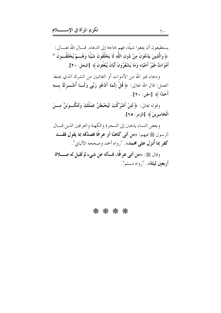يستطيعون أن يفعوا شيئًا، فهم بحاجة إلى الدعاء. قـــال الله تعـــالى: ﴿ وَالَّذِينَ يَدْعُونَ مِنْ دُونِ اللَّهِ لَا يَخْلُقُونَ شَيْئًا وَهُـــمْ يُخْلَقُـــونَ \* أَمْوَاتٌ غَيْرُ أَحْيَاء وَمَا يَشْعُرُونَ أَيَّانَ يُبْعَثُونَ ﴾ [النحل: ٢٠].

ودعاء غير الله من الأموات أو الغائبين من الشرك الذي يحبط العمل: قال الله تعالى: ﴿ قُلْ إِنَّمَا أَدْعُو رَبِّي وَلَــا أُشْـــركُ بــــهِ أَحَلًا ﴾ [الجن: ٢٠].

وقوله تعالى: ﴿ لَئِنْ أَشْرَكْتَ لَيَحْبَطَنَّ عَمَلُكَ وَلَتَكُــونَنَّ مِـــنَ الْخَاسِرِينَ ﴾ [الزمر: ٢٥].

وبعض النساء يذهبن إلى السحرة والكهنة والعرافين الذين قسال الرسول ﷺ فيهم: «**من أتى كاهنًا أو عرافًا فصدَّقه بما يقول فقــــد** كفر بما أُنزِل على محمد». "رواه أحمد وصححه الألباني".

وقال ﷺ: «من أتبي عوافًا، فسأله عن شيء لم تُقبل له صـــــلاة أ**ربعين ليلة**». "رواه مسلم".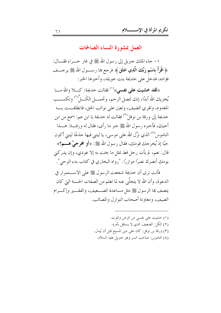العمل بمشورة النساء الصالحات

١– جاء الملك جبريل إلى رسول الله ﷺ في غار حــــراء فقــــال: ﴿ اقْرَأْ بِاسْمِ رَبِّكَ الَّذِي خَلَقَ ﴾ فرحع بما رســــول الله ﷺ يرحــــف فؤاده، فدحل على حديجة بنت حويلد، وأحبرها الخبر:

«لقد خشيت على نفسي»<sup>(١)</sup> فقالت حديجة: كــــلا والله مـــا يُخزيك الله أبدًا، إنك لتصل الرحم، وتحمـــل الكَـــلَّ'`` وتكســـب المعدوم، وتقري الضيف، وتعين على نوائب الحق، فانطلقــت بـــه حديجة إلى ورقة بن نوفل<sup>(٣)</sup> فقالت له حديجة يا ابن عم: اسمع من ابن أخيك، فأخبره رسول الله ﷺ حبر ما رأى، فقال له ورقــــة: هــــذا الناموس<sup>(٤)</sup> الذي نزَّل الله على موسى، يا ليتني فيها جذعًا ليتني أكون حيًا إذ يُخرجك قومك، فقال رسول الله ﷺ: «أ**و مخرجيَّ هــــم؟**» قال: نعم، لم يأت رحل قط بمثل ما حتت به إلا عودي، وإن يدركني يومك أنصرك نصرًا موازرًا. "رواه البخاري في كتاب بدء الوحي".

فأنت ترى أن حديجة شجعت الرسول ﷺ على الاســـتمرار في الدعوة، وأن الله لا يتخلَّى عنه لما تعلَّم من الصفات الحسنة التي كان يتصف ها الرسول ﷺ مثل مساعدة الضـــعيف، والفقـــير وإكـــرام الضيف، ومعاونة أصحاب النواز ل والمصائب.

> (١) خشيت على نفسي من المرض والموت. (٢) الكَمل: الضعيف الذي لا يستقل بأمره. (٣) ورقة بن نوفل: كان على دين المسيح قبل أن يُبدل. (٤) الناموس: صاحب السر وهو جبريل عليه السلام.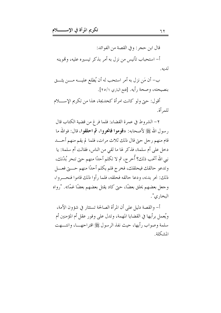قال ابن حجر : و في القصة من الفوائد: أ– استحباب تأنيس من نزل به أمر بذكر تيسيره عليه، وقموينه لديه.

ب– أن مَن نزل به أمر استحب له أن يُطلع عليــــه مــــن يثــــق بنصيحته، وصحة رأيه. [فتح الباري ٢٥/١].

أقول: حتى ولو كانت امرأة كخديجة، هذا من تكريم الإسللام للمرأة.

٢– الشروط في عمرة القضاء: فلما فر غ من قضية الكتاب قال رسول الله ﷺ لأصحابه: «**قوموا فانحروا، ثم احلقوا،** قال: فوالله ما قام منهم رجل حيّ قال ذلك ثلاث مرات، فلما لم يقم منهم أحسد دخل على أم سلمة، فذكر لها ما لقي من الناس، فقالت أم سلمة: يا نِيي الله أتحب ذلك؟ أُخرج، ثم لا تكلم أحدًا منهم حتى تنحر بُدْنك، وتدعو حالقك فيحلقك، فخرج فلم يكلم أحدًا منهم حسيّ فعـــل ذلك: نحر بدنه، ودعا حالقه فحلقه، فلما رأوا ذلك قاموا فنحب وا، وجعل بعضهم يحلق بعضًا، حتى كاد يقتل بعضهم بعضًا غمًا». "رواه البخاري".

أ– والقصة دليل على أن المرأة الصالحة تستثار في شؤون الأمة، ويُعمل برأيها في القضايا المهمة، وتدل على وفور عقل أم المؤمنين أم سلمة وصواب رأيها، حيث نفذ الرسول ﷺ اقتراحهـــا، وانتـــهت المشكلة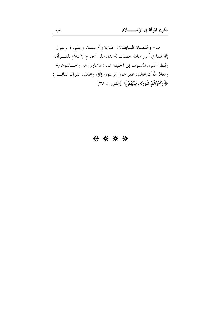ب– والقصتان السابقتان: خديجة وأم سلمة، ومشورة الرسول عَيْلِهِ لهما في أمور هامة حصلت له يدل على احترام الإسلام للمـــرأة، ويُبطل القول المنسوب إلى الخليفة عمر: «شاوروهن وخـــالفوهن» ومعاذ الله أن يخالف عمر عمل الرسول ﷺ، ويخالف القرآن القائــــل: ﴿ وَأَمْرُهُمْ شُورَى بَيْنَهُمْ ﴾ [الشورى: ٣٨].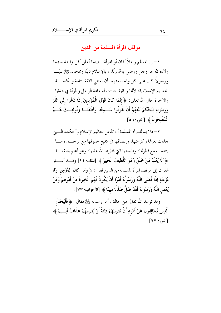موقف المرأة المسلمة من الدين

١– إن المسلم رحلاً كان أو امرأة، حينما أعلن كل واحد منهما ولاءه لله عز وحل ورضي بالله ربًا، وبالإسلام دينًا وبمحمد ﷺ نبيَّـــا ورسولاً كان على كل واحد منهما أن يعطي الثقة التامة والكاملـــة للتعاليم الإسلامية، لألها ربانية جاءت لسعادة الرجل والمرأة في الدنيا والآخرة: قال الله تعالى: ﴿ إِنَّمَا كَانَ قَوْلَ الْمُؤْمِنِينَ إِذَا دُعُوا إِلَى اللَّهِ وَرَسُولِهِ لِيَحْكُمَ بَيْنَهُمْ أَنْ يَقُولُوا سَـــمِعْنَا وَأَطَعْنَـــا وَأُولَئِـــكَ هُـــمُ الْمُفْلِحُونَ ﴾ [النور:٥١].

٢- فلا بد للمرأة المسلمة أن تذعن لتعاليم الإسلام وأحكامه الـــــيّ جاءت لعزتما وكرامتها، وإنصافها في جميع حقوقها مع الرجـــل ومـــا يتناسب مع فطرتما، وطبيعتها التي فطرها الله عليها، وهو أعلم بخلقهــــا: ﴿ أَلَا يَعْلَمُ مَنْ خَلَقَ وَهُوَ اللَّطِيفُ الْخَبِيرُ ﴾ [الملك: ١٤] وقـــــد أشـــــار القرآن إلى موقف المرأة المسلمة من الدين فقال: ﴿ وَمَا كَانَ ۚ لِمُؤْمِنٍ ۚ وَلَا مُؤْمِنَةٍ إذَا قَضَى اللَّهُ وَرَسُولُهُ أَمْرًا أَنْ يَكُونَ لَهُمُ الْخِيَرَةُ مِنْ أَمْرِهِمْ وَمَنْ يَعْص اللَّهَ وَرَسُولَهُ فَقَدْ ضَلَّ ضَلَالًا مُبِينًا ﴾ [الأحزاب: ٣٣].

وقد توعد الله تعالى من حالف أمر رسوله ﷺ فقال: ﴿ فَلْيَحْنَرِ الَّذِينَ يُخَالِفُونَ عَنْ أَمْرِهِ أَنْ تُصِيبَهُمْ فِتْنَةٌ أَوْ يُصِيبَهُمْ عَذَابٌ أَلِـــيمٌ ﴾ [النور: ٦٣].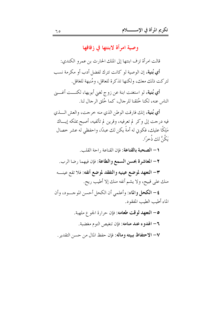وصية امرأة لابنتها في زفافها

قالت امرأة تز ف ابنتها إلى الملك الحارث بن عمرو الكندي: أي بُنية، إن الوصية لو كانت تترك لفضل أدب أو مكرمة نسب لتركت ذلك معك، ولكنها تذكرة للعاقل، ومُنبهة للغافل.

أي بُنية، لو استغنت ابنة عن زوج لغني أبويها، لكنـــت أغـــني الناس عنه، لكنا خُلقنا للرجال، كما خُلق الرجال لنا.

أي بُنية، إنك فارقت الوطن الذي منه خرجت، والعش السذي فيه درجت إلى وكر لم تعرفيه، وقرين لم تألفيه، أصبح بملكه إيساك مَلِكًا عليك، فكوني له أمةً يكن لك عبدًا، واحفظي له عشر خصال يَكُنَّ لك ذُخرًا.

1 – ا**لصحبة بالقناعة**: فإن القناعة , احة القلب. ٢- المعاشرة بحسن السمع والطاعة: فإن فيهما رضا الرب. ٣- التعهد لموضع عينيه والتفقد لموضع أنفه: فلا تقع عينـــه منك على قبيح، ولا يشم أنفه منك إلا أطيب ريح. ٤- الكحل والماء: وأعلمي أن الكحل أحسن الموجـود، وأن

الماء أطيب الطيب المفقود.

0– التعهد لوقت طعامه: فإن حرارة الجوع ملهبة. ٦- الهدوء عند منامه: فإن تنغيص النوم مغضبة. ٧- الاحتفاظ ببيته وماله: فإن حفظ المال من حسن التقدير.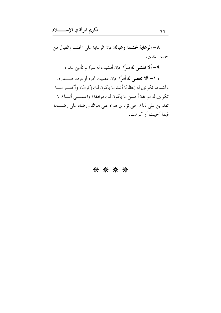٨- الرعاية لحشمه وعياله: فإن الرعاية على الحشم والعيال من حسن التدبير .

۹– ألا تفشي له سرًا: فإن أفشيت له سرًا لم تأمني غدره.

• ١- ألا تعصي له أمرًا: فإن عصيت أمره أوغرت صـــــدره. وأشد ما تكونين له إعظامًا أشد ما يكون لك إكرامًا، وأكثـــر مـــا تكونين له موافقة أحسن ما يكون لك مرافقة؛ واعلمـــي أنـــك لا تقدرين على ذلك حتى تؤثري هواه على هواك ورضاه على رضــاك فيما أحببت أو كرهت.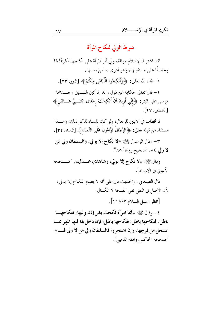# شرط الولى لنكاح المرأة

لقد اشترط الإسلام موافقة ولي أمر المرأة على نكاحها تكريمًا لها وحفاظًا على مستقبلها، وهو أدرى ها من نفسها.

١ – قال الله تعالى: ﴿ وَأَنْكِحُوا الْمَأْيَامَى مِنْكُمْ﴾ [النور: ٣٣].

٢- قال تعالى حكاية عن قول والد المرأتين اللـــتين وجـــدهما موسى على البئر: ﴿ إِنِّي أُرِيدُ أَنْ أُنْكِحَكَ إِحْدَى ابْنَتَـــيَّ هَـــاتَيْنِ﴾ [القصص: ٢٧] .

فالخطاب في الآيتين للرجال، ولو كان للنساء لذكر ذلك، وهــــذا مستفاد من قوله تعالى: ﴿ الرِّجَالُ قَوَّاهُونَ عَلَى النِّسَاءِ ﴾ [النساء: ٣٤].

٣- وقال الرسول ﷺ: «لا نكاح إلا بولي، والسلطان ولي مَن لا ولي له». "صحيح رواه أحمد".

وقال ﷺ: «لا نكاح إلا بولي، وشاهدي عـــدل». "صـــححه الألبان في الا, واء".

قال الصنعاني: والحديث دل على أنه لا يصح النكاح إلا بولي، لأن الأصل في النفي نفي الصحة لا الكمال.

[انظر: سبل السلام ١١٧/٣].

٤– وقال ﷺ: «أيما امرأة نُكحت بغير إذن وليها، فنكاحهــــا باطل، فنكاحها باطل، فنكاحها باطل، فإن دخل ها فلها المهر بمسا استحل من فرجها، وإن اشتجروا فالسلطان ولي من لا ولي لهـــا». "صححه الحاكم ووافقه الذهبي".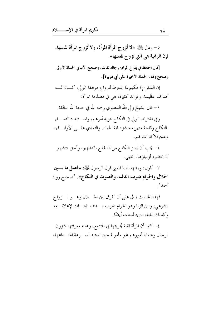ه – وقال ﷺ: «لا تُزوج المرأة المرأة، ولا تُزوج المرأة نفسها، فإن الزانية هي التي تزوج نفسها».

[قال الحافظ في بلوغ المرام: رجاله ثقات، وصحح الألباني الجملة الأولى. وصحح وقف الجملة الأخيرة على أبي هريرة] .

إن الشارع الحكيم لما اشترط للزواج موافقة الولى، كـــان لـــه أهداف عظيمة، وفوائد كثيرة، هي في مصلحة المرأة:

١ – قال الشيخ ولي الله الدهلوي رحمه الله في حجة الله البالغة:

وفي اشتراط الولى في النكاح تنويه أمرهم، واستبداد النســاء بالنكاح وقاحة منهن، منشؤه قلة الحياء. والتعدي علـــى الأوليـــاء، وعدم الاكتراث هِم.

٢- يجب أن يُميز النكاح من السفاح بالتشهير، وأحق التشهير أن يحضره أولياؤها. انتهى.

٣- أقول: ويشهد لهذا المعنى قول الرسول ﷺ: «فصل ما بسين الحلال والحرام ضرب الدف، والصوت في النكاح». "صحيح رواه أحمد".

فهذا الحديث يدل على أن الفرق بين الحــــلال وهــــو الـــزواج الشرعي، وبين الزنا وهو الحرام ضرب الــدف للبنـــات لإعلانـــه، وكذلك الغناء التريه للبنات أيضًا.

٤- كما أن المرأة لقلة تحربتها في المحتمع، وعدم معرفتها شؤون الرجال وخفايا أمورهم غير مأمونة حين تستبد لســـرعة انخــــداعها،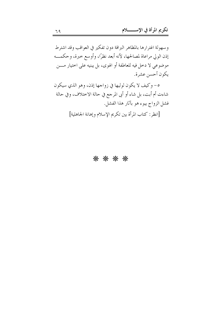وسهولة اغترارها بالمظاهر البراقة دون تفكير في العواقب وقد اشترط إذن الولي مراعاة لمصالحها، لأنه أبعد نظرًا، وأوسع حبرة، وحكمـــه موضوعي لا دخل فيه للعاطفة أو الهوى، بل يبنيه على اختيار مـــن يكون أحسن عشرة.

٥- وكيف لا يكون لوليها في زواجها إذن، وهو الذي سيكون شاءت أم أبت، بل شاء أو أبي المرحع في حالة الاختلاف، وفي حالة فشل الزواج يبوء هو بآثار هذا الفشل.

[انظر: كتاب المرأة بين تكريم الإسلام وإهانة الجاهلية]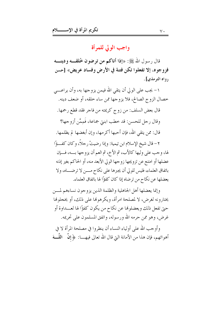### واجب الولى للمرأة

قال رسول الله ﷺ: «إذا أتاكم من ترضون خُلقـــه ودينــــه فزوجوه، إلا تفعلوا تكن فتنة في الأرض وفساد عريض» [حسن دواه الترمذي] .

١– يجب على الولي أن يتقي الله فيمن يزوجها به، وأن يراعــــي خصال الزوج الصالح، فلا يزوجها ممن ساء خلقه، أو ضعف دينه.

قال بعض السلف: من زوج كريمته من فاحر فقد قطع رحمها. وقال رجل للحسن: قد خطب ابنتي جماعة، فَمِمَّن أزوجها؟ قال: ممن يتقى الله، فإن أحبها أكرمها، وإن أبغضها لم يظلمها.

٢- قال شيخ الإسلام ابن تيمية: وإذا رضيتْ رحلاً، وكان كفئوًا لها، وجب على وليها كالأب، ثم الأخ، ثم العم أن يزوجها بـــه، فـــإن عضلها أو امتنع عن تزويجها زوجها الولى الأبعد منه، أو الحاكم بغير إذنه باتفاق العلماء، فليس للولي أن يجبرها على نكاح مــــن لا ترضــــاه، ولا يعضلها عن نكاح من ترضاه إذا كان كفؤًا لها باتفاق العلماء.

وإنما يعضلها أهل الجاهلية والظلمة الذين يزوجون نساءهم لمسن يختارونه لغرض، لا لمصلحة امرأة، ويكرهوها على ذلك، أو يخجلوها حتى تفعل ذلك ويعضلوها عن نكاح من يكون كفؤًا لها لعـــداوة أو غرض، وهو ممن حرمه الله ورسوله، واتفق المسلمون على تحريمه.

وأوجب الله على أولياء النساء أن ينظروا في مصلحة المرأة لا في أهوائهم، فإن هذا من الأمانة التي قال الله تعالى فيهــــا: ﴿ إِنَّ ۗ اللَّــــهَ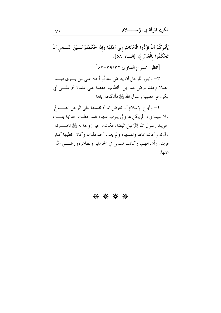يَأْمُرُكُمْ أَنْ تُؤَدُّوا الْأَمَانَاتِ إلَى أَهْلِهَا وَإِذَا حَكَمْتُمْ بَـــيْنَ النَّـــاس أَنْ تَحْكُمُوا بِالْعَدْلِ﴾ [النساء: ٥٨]. [انظر: مجموع الفتاوى ٣٦/٣٢-٥٢] ٣- ويجوز للرجل أن يعرض بنته أو أخته على من يـــرى فيــــه الصلاح فقد عرض عمر بن الخطاب حفصة على عثمان ثم علـــي أبي بكر، ثم خطبها رسول الله ﷺ فأنكحه إياها. ٤ – وأباح الإسلام أن تعرض المرأة نفسها على الرجل الصـــالح ولا سيما وإذا لم يكن لها ولى ينوب عنها، فقد حطبت حديجة بنست خويلد رسول الله ﷺ قبل البعثة، فكانت خير زوجة له ﷺ ناصـــرته وآوته وأعانته بمالها ونفسها، ولم يعب أحد ذلك، وكان يخطبها كبار قريش وأشرافهم، وكانت تسمى في الجاهلية (الطاهرة) رضــــى الله

عنها.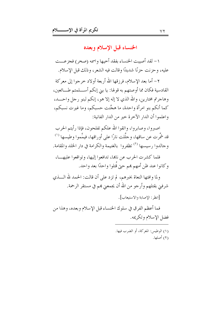الخنساء قبل الإسلام وبعده

١- لقد أصيبت الخنساء بفقد أحيها واسمه (صخر) فجزعـــت عليه، وحزنت حزنًا شديدًا وقالت فيه الشعر، وذلك قبل الإسلام.

٢– أما بعد الإسلام، فرزقها الله أربعة أولاد خرجوا إلى معركة القادسية فكان مما أوصتهم به قولها: يا بني إنكم أســـلمتم طـــائعين، وهاجرتم مختارين، والله الذي لا إله إلا هو، إنكم لبنو رجل واحـــد، كما أنكم بنو امرأة واحدة، ما هجَّنت حسبكم، وما غيرت نسبكم، واعلموا أن الدار الآخرة حير من الدار الفانية:

اصبروا، وصابروا، واتقوا الله علكم تفلحون، فإذا رأيتم الحرب قد شَّمرت عن ساقها، و حلَّلت نارًا على أوراقها، فيمِّموا وطيسها '' وجالدوا رسيسها (٢) تظفروا بالغنيمة والكرامة في دار الخلد والمقامة.

فلما كشرت الحرب عن ناهما، تدافعوا إليها، وتواقعوا عليهـــا، وكانوا عند ظن أمهم هم حتى قُتلوا واحدًا بعد واحد.

ولما وافتها النعاة بخبرهم، لم تزد على أن قالت: الحمد لله الــــذي شرفني بقتلهم وأرجو من الله أن يجمعني هم في مستقر الرحمة. [انظر : الإصابة والاستبعاب] .

فما أعظم الفرق في سلوك الخنساء قبل الإسلام وبعده، وهذا من فضل الإسلام وتكريمه.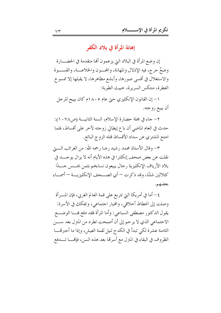إهانة المرأة في بلاد الكفر

إن وضع المرأة في البلاد التي يزعمون ألها متقدمة في الحضــــارة وضعٌ حرج، فيه الإذلال والمهانة، والمحــون والخلاعـــة، والقســـوة والاستغلال في أقسى صورها، وأبشع مظاهرها، لا يقبلها إلا ممسوخ الفطرة، منتكس السريرة، حبيث الطوية:

١- إن القانون الإنكليزي حتى عام ١٨٠٥م كان يبيح للرجل أن يبيع زوجته.

٢ – جاء في مجلة حضارة الإسلام، السنة الثانيــــة (ص٧٨. ١): حدث في العام الماضي أن باع إيطالي زوجته لآخر على أقساط، فلما امتنع المشتري عن سداد الأقساط قتله الزوج البائع.

٣- وقال الأستاذ محمد , شيد , ضا , حمه الله: من الغرائب الــــتي نقلت عن بعض صحف إنكلترا في هذه الأيام أنه لا يزال يوجـــد في بلاد الأرياف الإنكليزية رحال يبيعون نساءهم بثمن بخـــس حـــدًا كثلاثين شلنًا، وقد ذكرت — أي الصـــحف الإنكليزيـــة — أسمـــاء بعضهم.

٤ – أما في أمريكا التي تتربع على قمة العالم الغربي، فإن المــــرأة وصلت إلى انحطاط أحلاقي، والهيار احتماعي، وتفكك في الأسرة: يقول الدكتور مصطفى السباعي: وأما المرأة فقد دفع هـــا الوضـــع الاجتماعي الذي لا يرحم إلى أن أصبحت تطرد من المترل بعد ســـن الثامنة عشرة لكي تبدأ في الكدح لنيل لقمة العيش، وإذا ما أحبرتهــــا الظروف في البقاء في المنزل مع أسرتها بعد هذه السن، فإلهــــا تـــــدفع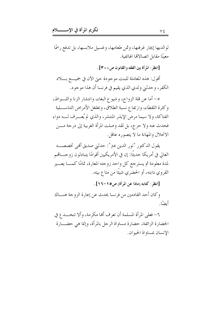لوالديها إيجار غرفتها، وثمن طعامها، وغسيل ملابسها، بل تدفع رسمًا معينًا مقابل اتصالاها الهاتفية.

[انظر : المرأة بين الفقه والقانون ص • • ٣] .

أقول: هذه المعاملة للبنت موجودة حبيّ الآن في جميــــع بـــــلاد الكفر، وحدثني ولدي الذي يقيم في فرنسا أن هذا موجود.

٥- أما عن قلة الزواج، وشيوع البغاء، وانتشار الزنا واللــواط، وكثرة اللقطاء، وارتفاع نسبة الطلاق، وتغلغل الأمراض التناســـلية الفتاكة، ولا سيما مرض الإيذر المنتشر، والذي لم يُعـــرف لــــه دواء فحدث عنه ولا حرج، بل لقد وصلت المرأة الغربية إلى درجة مـــن الانحلال والمهانة ما لا يتصوره عاقل.

يقول الدكتور "نور الدين عتر": حدثني صديق أفمي تخصصـــه العالي في أمريكا حديثًا: إن في الأمريكيين أقوامًا يتبادلون زوجــــاتمـم لمدة معلومة ثم يسترجع كل واحد زوجته المعارة، تمامًا كمـــا يعـــير القروي دابته، أو الحضري شيئًا من متاع بيته.

[انظر : كتابه (ماذا عن المرأة) ص٥ ١-١٦].

و كان أحد القادمين من فرنسا يحدث عن إعارة الزوجة هنـــاك أيضًا.

٦- فعلى المرأة المسلمة أن تعرف ألها مكرمة، وألا تنخـــدع في الحضارة الزائفة، حضارة مساواة الرجل بالمرأة، وإنما هي حضـــارة الانسان عساواة الحبوان.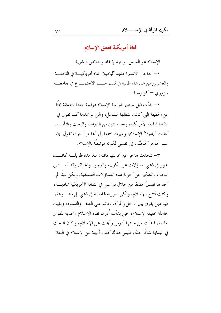فتاة أمريكية تعتنق الإسلام

الإسلام هو السبيل الوحيد لإنقاذ وخلاص البشرية. ١ – "هاجر " الاسم الجديد "لياميلا" فتاة أمريكيـــة في الثامنــــة والعشرين من عمرها، طالبة في قسم علم الاحتمـــاع في جامعـــة ميزوري – كولومبيا -.

١- بدأت قبل سنتين بدراسة الإسلام دراسة جادة متعمقة بحثًا عن الحقيقة التي كانت شغلها الشاغل، والتي لم تجدها كما تقول في الثقافة المادية الأمريكية، وبعد سنتين من الدراسة والبحث والتأمــــل أعلنت "ياميلا" الإسلام، وغيرت اسمها إلى "هاجر" حيث تقول: إن اسم "هاجر" مُحبَّب إلى نفسي لكونه مرتبطًا بالإسلام.

٣- تتحدث هاجر عن تجربتها قائلة: منذ مدة طويلــة كانـــت تدور في ذهني تساؤلات عن الكون، والوجود والحياة، وقد أضـــناني البحث والتفكير عن أجو بة لهذه التساؤلات الفلسفية، ولكن عبثًا لم أحد لها تفسيرًا مقنعًا من حلال در استي في الثقافة الأمريكية الماديـــة، وكنت أسمع بالإسلام، ولكن صورته غامضة في ذهبي بل مُشـــوهة، فهو دين يفرق بين الرجل والمرأة، وقائم على العنف والقسوة، وبقيت جاهلة بحقيقة الإسلام، حيّ بدأت أُدرك نقاء الإسلام وتحديه للقوى المادية، فبدأت من حينها أدرس وأبحث عن الإسلام، وكان البحث في البداية شاقًا حدًا، فليس هناك كتب أمينة عن الإسلام في اللغة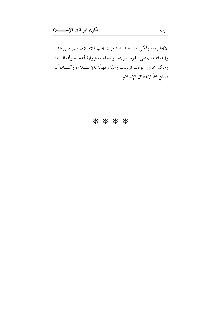الإنحليزية، ولكني منذ البداية شعرت بحب للإسلام، فهو دين عدل وإنصاف، يعطي الفرد حريته، ويحمله مسؤولية أعماله وأفعالـــه، وهكذا بمرور الوقت ازددت وعيًا وفهمًا بالإســــلام، وكــــان أن هداني الله لاعتناق الإسلام.

## \* \* \* \*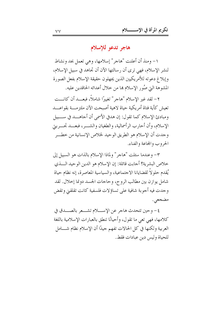هاجر تدعو للإسلام

١- ومنذ أن أعلنت "هاجر" إسلامها، وهي تعمل بجد ونشاط لنشر الإسلام، فهي ترى أن رسالتها الآن أن تجاهد في سبيل الإسلام، وإبلاغ دعوته للأمريكيين الذين يجهلون حقيقة الإسلام بفعل الصورة المشوهة التي صُور الإسلام بما من خلال أعدائه الحاقدين عليه.

٢– لقد غير الإسلام "هاجر" تغييرًا شاملاً، فبعـــد أن كانـــت تعيش كأية فتاة أمريكية حياة لاهية أصبحت الآن ملتزمــــة بقواعــــد ومبادئ الإسلام كما تقول: إن هدفي الأسمى أن أحاهــــد في ســــبيل الإسلام، وأن أحارب الرأسمالية، والطغيان والشـــر، فبعـــد تحـــربتي وجدت أن الإسلام هو الطريق الوحيد لخلاص الإنسانية من خطـــر الحروب والمحاعة والفناء.

٣- وعندما سئلت "هاجر" ولماذا الإسلام بالذات هو السبيل إلى خلاص البشرية؟ أجابت قائلة: إن الإسلام هو الدين الوحيد الــــذي يُقدم حلوٍ لاَ لقضايانا الاجتماعية، والسياسية المعاصرة، إنه نظام حياة شامل يوازن بين مطالب الروح، وحاجات الجسد دونما إحلال. لقد وجدت فيه أجوبة شافية على تساؤلات فلسفية كانت تقلقني وتقض مضجعي.

٤- وحين تتحدث هاجر عن الإسللام تشــعر بالصــدق في كلامها، فهي تعي ما تقول، وأحيانًا تنطق بالعبارات الإسلامية باللغة العربية ولكنها في كل الحالات تفهم جيدًا أن الإسلام نظام شـــامل للحياة وليس دين عبادات فقط.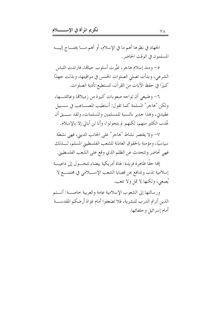الجهاد في نظرها أهم ما في الإسلام، أو أهم مـــا يحتــــاج إليــــه المسلمون في الوقت الحاضر .

٥– ومنذ إسلام هاجر ، غيَّر ت أسلوب حيالها، فارتدت اللباس الشرعي، وبدأت تصلي الصلوات الخمس في مواقيتها، وبذلت جهدًا كبيرًا في حفظ الآيات من القرآن، لتستطيع تأدية الصلوات.

٦- وطبيعي أن تواجه صعوبات كبيرة من زميلاقما وعائلتـــها، ولكن "هاجر" المسلمة كما تقول: أستطيب المصــاعب في ســـبيل عقيدتي، وهذا حدير بالنسبة للمسلمين والمسلمات، ولقد ســـبق أن عُذب الكثير منهم، لكنهم لم يتحولوا، وأنا لن أبالي إلا بالإسلام.

٧- ولا يقتصر نشاط "هاجر" على الجانب الديني، فهي نشطة سياسيًا، ومؤمنة بالحقوق العادلة للشعب الفلسطيني المسلم، لــــذلك فهي تحاضر وتتحدث عن الظلم الذي وقع على الشعب الفلسطيني.

إنها حقًّا ظاهرة فريدة: فتاة أمريكية بيضاء تتحـــول إلى داعيـــة إسلامية تذب وتدافع عن قضايا الشعب الإســــلامي في محتمــــع لا يُصغى، ولكنها لا تمل ولا تتعب.

ورسالتها إلى الشعوب الإسلامية عامة والعربية خاصـــة: أنـــتم الذين أنرتم الدرب للبشرية، فلا تضعفوا أمام غزاة أرضكم المقدســـة أمام إسرائيل وحلفائها.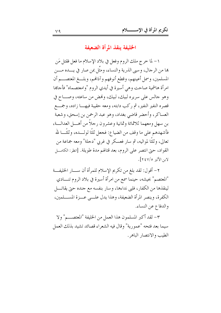الخليفة ينقذ المرأة الضعيفة

١– لما خرج ملك الروم وفعل في بلاد الإسلام ما فعل فقتل مَن ها من الرحال، وسبي الذرية والنساء، ومثَّل عن صار في يــــده مــــن المسلمين، وسمل أعينهم، وقطع أنوفهم وآذافهم، وبلـــغ المعتصـــم أن امرأة هاشمية صاحت وهي أسيرة في أيدي الروم "وامعتصماه" فأجاها وهو حالس علي سريره لبيك، لبيك، وفمض من ساعته، وصـــاح في العساكر، وأحضر قاضي بغداد، وهو عبد الرحمن بن إسحق، وشعبة بن سهل ومعهما ثلاثمائة وثمانية وعشرون رحلاً من أهـــل العدالـــة، فأشهدهم على ما وقف من الضياع: فجعل ثلثًا لولـــده، وثلثَّـــا لله تعالى، وثلثًا لمواليه، ثم سار فعسكر في غربي "دجلة" ومعه جماعة من القواد، حتى انتصر على الروم، بعد قتالهم مدة طويلة. [انظر: الكامـــل لابن الأثير ٧/٥؟٢].

٢- أقول: لقد بلغ من تكريم الإسلام للمرأة أن ســـار الخليفـــة "المعتصم" بجيشه، حينما سمع من امرأة أسيرة في بلاد الروم تنــــادي لينقذها من الكفار، فلبي نداءها، وسار بنفسه مع جنده حتى يقاتــــل الكفرة، وينصر المرأة الضعيفة، وهذا يدل علـــي عــــزة المســــلمين، والدفاع عن النساء.

٣- لقد أكبر المسلمون هذا العمل من الخليفة "المعتصـــم" ولا سبما بعد فتحه "عمورية" وقال فيه الشعراء قصائد تشيد بذلك العمل الطيب والانتصار الباهر .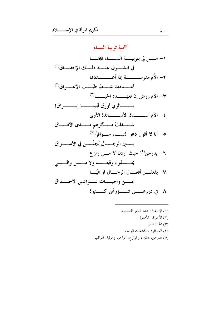أهمية تربية النساء ١– مـــــــــن لي بتوبيـــــــة النـســــــــاء فإنهـــــــا في الشــــرق علــــة ذلــــك الإخفـــاق ( ' ) ٣- الأم روض إن تعهـــــده الحيــــــا<sup>(٣)</sup> بـــــــــالري أورق أيَّمـــــــــــــــــــــــراق! ٤- الأم أســــــتاذ الأســـــاتذة الأولى شـــــغلتْ مــــــآثرهم مــــــدى الآفــــاق 0- أنا لا أقول دعو النســاء ســوافرًا<sup>(٤)</sup> بـــــــين الرجــــــال يَجلْــــــن في الأســــــواق ٦- يدرجن<sup>(٥)</sup> حيث أردن لا مـــن واز ع ٧- يفعلــــن أفعـــــال الرجـــــال لواهيًــــا عسسن واجبسسات نسسواعس الأحسسداق ٨– في دورهـــــــن شـــــــؤوفمن كــــــثيرة

> (١) الإخفاق: عدم الظفر المطلوب. (٢) الأعراق: الأصول. (٣) الحيا: المطر. (٤) السوافر: المنكشفات الوجوه. (٥) يدرجن: يمشين، والوازع: الزاحر، والرقبة: المراقب.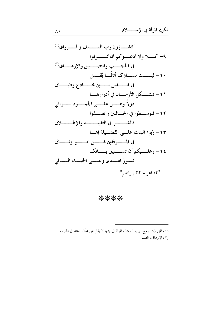كشــــؤون رب الســـــيف والمــــزراق ( ا ۹- کــــــلا ولا أدعــــــوکم أن تُســــــــوفوا في الحجــــب والتضــــييق والإرهـــاق'<sup>٢)</sup> . ١- ليســـت نســــاؤكم أثاثًــــا يُقـــتنى في الــــــــــــــــــــين مخـــــــاد ع وطبــــــاق ١١- تتشــكل الأزمـــان في أدوارهـــا دولاً وهـــــن علـــــى الجمـــــود بـــــواقى ١٢- فتوســــطوا في الحــــالتين وأنصــــفوا ١٣- رَبوا البنات علــي الفضـــيلة إفْمــا في المـــــوقفين لهــــــــن خـــــــــير وَثـــــــاق ١٤- وعلـــيكم أن تســــتبين بنــــاتكم نسورَ الهسَّدي وعلَّــبي الحيساء البساقي "للشاعر حافظ إبراهيم"

## \*\*\*\*

(١) المزراق: الرمح؛ يريد أن شأن المرأة في بيتها لا يقل عن شأن القائد في الحرب. (٢) الإرهاق: الظلم.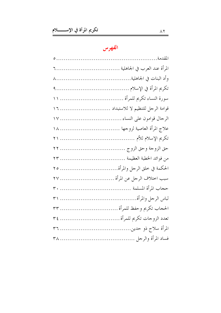## الفهرس

| قوامة الرجل للتنظيم لا للاستبداد  ١٦ |
|--------------------------------------|
|                                      |
| علاج المرأة العاصية لزوجها  ١٨       |
|                                      |
|                                      |
|                                      |
| الحكمة في خلق الرحل والمرأة ٢٥       |
| سبب اختلاف الرجل عن المرأة  ٢٧       |
|                                      |
|                                      |
|                                      |
| تعدد الزوحات تكريم للمرأة  ٣٤        |
|                                      |
|                                      |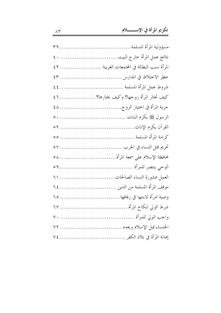| نتائج عمل المرأة خارج البيت ٤٠              |  |
|---------------------------------------------|--|
| المرأة سبب البطالة في المحتمعات الغربية  ٤٢ |  |
|                                             |  |
|                                             |  |
| كيف تختار المرأة زوجها؟ وكيف يختارها؟  ٤٦   |  |
|                                             |  |
|                                             |  |
|                                             |  |
|                                             |  |
|                                             |  |
| محافظة الإسلام على سمعة المرأة ٥٨           |  |
|                                             |  |
| العمل بمشورة النساء الصالحات  ٦١            |  |
| موقف المرأة المسلمة من الدين  ٢٤            |  |
| وصية امرأة لابنتها في زفافها  ٦٥            |  |
|                                             |  |
|                                             |  |
| الخنساء قبل الإسلام وبعده  ٧٢               |  |
|                                             |  |